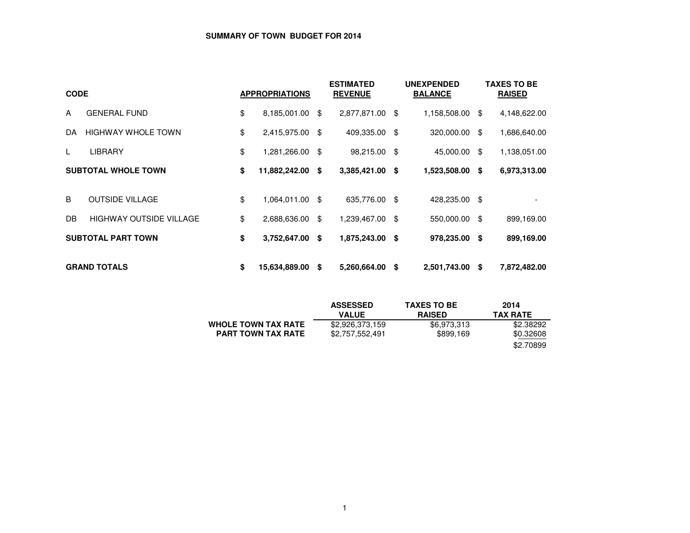## **SUMMARY OF TOWN BUDGET FOR 2014**

| <b>CODE</b> |                                | <b>APPROPRIATIONS</b> | <b>ESTIMATED</b><br><b>REVENUE</b> |                 |    | <b>UNEXPENDED</b><br><b>BALANCE</b> |     | <b>TAXES TO BE</b><br><b>RAISED</b> |  |  |
|-------------|--------------------------------|-----------------------|------------------------------------|-----------------|----|-------------------------------------|-----|-------------------------------------|--|--|
| A           | <b>GENERAL FUND</b>            | \$<br>8,185,001.00    | - \$                               | 2,877,871.00 \$ |    | 1,158,508.00                        | \$  | 4,148,622.00                        |  |  |
| DA.         | <b>HIGHWAY WHOLE TOWN</b>      | \$<br>2,415,975.00    | -\$                                | 409,335.00      | \$ | 320,000.00                          | \$  | 1,686,640.00                        |  |  |
|             | <b>LIBRARY</b>                 | \$<br>1,281,266.00    | - \$                               | 98,215.00 \$    |    | 45,000.00                           | \$  | 1,138,051.00                        |  |  |
|             | <b>SUBTOTAL WHOLE TOWN</b>     | \$<br>11,882,242.00   | - \$                               | 3,385,421.00 \$ |    | 1,523,508.00                        | -\$ | 6,973,313.00                        |  |  |
| B           | <b>OUTSIDE VILLAGE</b>         | \$<br>1,064,011.00    | - \$                               | 635,776.00 \$   |    | 428,235.00 \$                       |     |                                     |  |  |
| DB.         | <b>HIGHWAY OUTSIDE VILLAGE</b> | \$<br>2,688,636.00    | - \$                               | 1,239,467.00 \$ |    | 550,000.00                          | \$  | 899,169.00                          |  |  |
|             | <b>SUBTOTAL PART TOWN</b>      | \$<br>3,752,647.00    | \$                                 | 1,875,243.00 \$ |    | 978,235.00                          | \$  | 899,169.00                          |  |  |
|             | <b>GRAND TOTALS</b>            | \$<br>15,634,889.00   | S                                  | 5,260,664.00    | \$ | 2,501,743.00                        | -\$ | 7,872,482.00                        |  |  |

|                            | <b>ASSESSED</b> | <b>TAXES TO BE</b> | 2014            |
|----------------------------|-----------------|--------------------|-----------------|
|                            | <b>VALUE</b>    | <b>RAISED</b>      | <b>TAX RATE</b> |
| <b>WHOLE TOWN TAX RATE</b> | \$2,926,373,159 | \$6,973,313        | \$2.38292       |
| <b>PART TOWN TAX RATE</b>  | \$2,757,552,491 | \$899,169          | \$0.32608       |
|                            |                 |                    | \$2.70899       |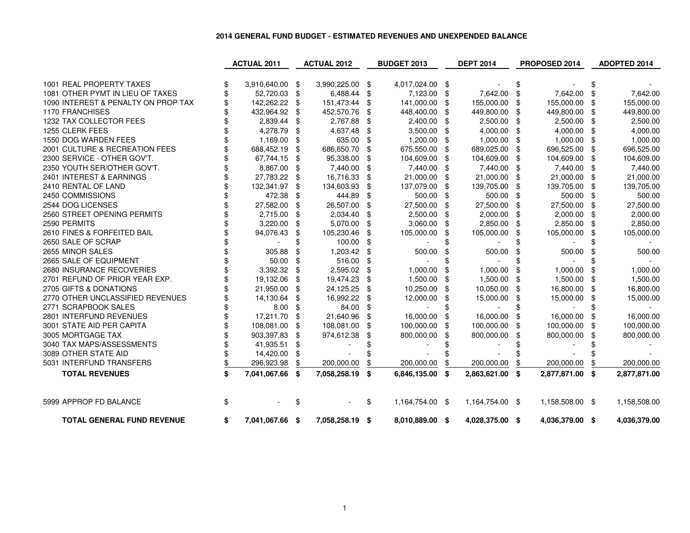## **2014 GENERAL FUND BUDGET - ESTIMATED REVENUES AND UNEXPENDED BALANCE**

|                                     | <b>ACTUAL 2011</b>    |      | <b>ACTUAL 2012</b> |     | <b>BUDGET 2013</b> |     | <b>DEPT 2014</b> |     | PROPOSED 2014   |      | ADOPTED 2014 |
|-------------------------------------|-----------------------|------|--------------------|-----|--------------------|-----|------------------|-----|-----------------|------|--------------|
|                                     |                       |      |                    |     |                    |     |                  |     |                 |      |              |
| 1001 REAL PROPERTY TAXES            | 3,910,640.00          | - \$ | 3,990,225.00 \$    |     | 4,017,024.00 \$    |     |                  | \$  |                 | S    |              |
| 1081 OTHER PYMT IN LIEU OF TAXES    | 52,720.03             | \$   | 6,488.44           | \$  | 7,123.00 \$        |     | 7,642.00         | \$  | 7,642.00        | \$   | 7,642.00     |
| 1090 INTEREST & PENALTY ON PROP TAX | 142,262.22            | \$   | 151,473.44         | \$  | 141,000.00         | \$  | 155,000.00       | \$  | 155,000.00      | -\$  | 155,000.00   |
| <b>1170 FRANCHISES</b>              | 432,964.92            | \$   | 452,570.76         | \$  | 448,400.00         | \$  | 449,800.00       | \$  | 449,800.00      | - \$ | 449,800.00   |
| 1232 TAX COLLECTOR FEES             | 2,839.44              | \$   | 2,767.88           | \$  | 2,400.00 \$        |     | 2,500.00         | \$  | 2,500.00 \$     |      | 2,500.00     |
| 1255 CLERK FEES                     | 4,278.79              | \$   | 4,637.48           | \$  | 3,500.00           | -\$ | 4,000.00         | \$  | 4,000.00        | -\$  | 4,000.00     |
| 1550 DOG WARDEN FEES                | 1,169.00              | \$   | 635.00             | \$  | 1,200.00 \$        |     | 1,000.00         | \$  | 1,000.00        | - \$ | 1,000.00     |
| 2001 CULTURE & RECREATION FEES      | 688,452.19            | \$   | 686,650.70         | \$  | 675,550.00 \$      |     | 689,025.00       | \$  | 696,525.00      | - \$ | 696,525.00   |
| 2300 SERVICE - OTHER GOV'T.         | 67,744.15             | \$   | 95,338.00          | \$  | 104,609.00         | \$  | 104,609.00       | \$  | 104,609.00      | -\$  | 104,609.00   |
| 2350 YOUTH SER/OTHER GOV'T.         | 8,867.00              | \$   | 7,440.00           | \$  | 7,440.00 \$        |     | 7,440.00         | -\$ | 7,440.00        | - \$ | 7,440.00     |
| 2401 INTEREST & EARNINGS            | 27,783.22             | \$   | 16,716.33          | \$  | 21,000.00          | \$  | 21,000.00        | \$  | 21,000.00       | -\$  | 21,000.00    |
| 2410 RENTAL OF LAND                 | 132,341.97            | \$   | 134,603.93         | -\$ | 137,079.00         |     | 139,705.00       | \$  | 139,705.00      | -\$  | 139,705.00   |
| 2450 COMMISSIONS                    | 472.38                | \$   | 444.89             | \$  | 500.00             | \$  | 500.00           | -\$ | 500.00          | -\$  | 500.00       |
| 2544 DOG LICENSES                   | 27,582.00             | \$   | 26,507.00          | \$  | 27,500.00          | \$  | 27,500.00        | \$  | 27,500.00       | -\$  | 27,500.00    |
| 2560 STREET OPENING PERMITS         | 2,715.00              | \$   | 2,034.40           | \$  | 2,500.00           | -\$ | 2,000.00         | \$  | 2,000.00        | -\$  | 2,000.00     |
| 2590 PERMITS                        | 3,220.00              | \$   | 5,070.00           | \$  | 3,060.00           | \$  | 2,850.00         | \$  | 2,850.00        | - \$ | 2,850.00     |
| 2610 FINES & FORFEITED BAIL         | 94,076.43             | \$   | 105,230.46         | \$  | 105,000.00         | \$  | 105,000.00       | \$  | 105,000.00      | \$   | 105,000.00   |
| 2650 SALE OF SCRAP                  |                       |      | 100.00             | \$  |                    |     |                  | \$  |                 |      |              |
| 2655 MINOR SALES                    | 305.88                |      | 1,203.42           | \$  | 500.00             |     | 500.00           |     | 500.00          | \$   | 500.00       |
| 2665 SALE OF EQUIPMENT              | 50.00                 | \$   | 516.00             | \$  |                    |     |                  |     |                 | \$   |              |
| 2680 INSURANCE RECOVERIES           | 3,392.32              | \$   | 2,595.02           | -\$ | 1,000.00           | \$  | 1,000.00         | \$  | 1,000.00        | \$   | 1,000.00     |
| 2701 REFUND OF PRIOR YEAR EXP.      | 19,132.06             | \$   | 19,474.23          | \$  | 1,500.00           | \$  | 1,500.00         | \$  | 1,500.00        | -\$  | 1,500.00     |
| 2705 GIFTS & DONATIONS              | 21,950.00             | \$   | 24,125.25          | \$  | 10,250.00          | \$  | 10,050.00        | \$  | 16,800.00       | - \$ | 16,800.00    |
| 2770 OTHER UNCLASSIFIED REVENUES    | 14,130.64             | \$   | 16,992.22          | \$  | 12,000.00          | \$  | 15,000.00        | \$  | 15,000.00       | \$   | 15,000.00    |
| 2771 SCRAPBOOK SALES                | 8.00                  | \$   | 84.00              | \$  |                    | \$  |                  | \$  |                 | \$   |              |
| 2801 INTERFUND REVENUES             | 17.211.70             | \$   | 21,640.96          | \$  | 16,000.00          | \$  | 16,000.00        | \$  | 16,000.00       | \$   | 16,000.00    |
| 3001 STATE AID PER CAPITA           | 108,081.00            | \$   | 108,081.00         | \$  | 100,000.00         | \$  | 100,000.00       | \$  | 100,000.00      | \$   | 100,000.00   |
| 3005 MORTGAGE TAX                   | 903,397.83            | \$   | 974,612.38         | \$  | 800,000.00         | \$  | 800,000.00       | \$  | 800,000.00      | \$   | 800,000.00   |
| 3040 TAX MAPS/ASSESSMENTS           | 41,935.51             | \$   |                    |     |                    |     |                  |     |                 |      |              |
| 3089 OTHER STATE AID                | 14,420.00             | \$   |                    |     |                    |     |                  |     |                 |      |              |
| 5031 INTERFUND TRANSFERS            | 296,923.98            |      | 200,000.00         | \$  | 200,000.00         |     | 200,000.00       | \$  | 200,000.00      | \$   | 200,000.00   |
| <b>TOTAL REVENUES</b>               | \$<br>7,041,067.66    | \$   | 7,058,258.19       | \$  | 6,846,135.00       | \$  | 2,863,621.00     | \$  | 2,877,871.00    | - \$ | 2,877,871.00 |
| 5999 APPROP FD BALANCE              | \$                    | \$   |                    | \$  | 1,164,754.00 \$    |     | 1,164,754.00 \$  |     | 1,158,508.00 \$ |      | 1,158,508.00 |
| <b>TOTAL GENERAL FUND REVENUE</b>   | \$<br>7,041,067.66 \$ |      | 7,058,258.19 \$    |     | 8,010,889.00 \$    |     | 4,028,375.00 \$  |     | 4,036,379.00 \$ |      | 4,036,379.00 |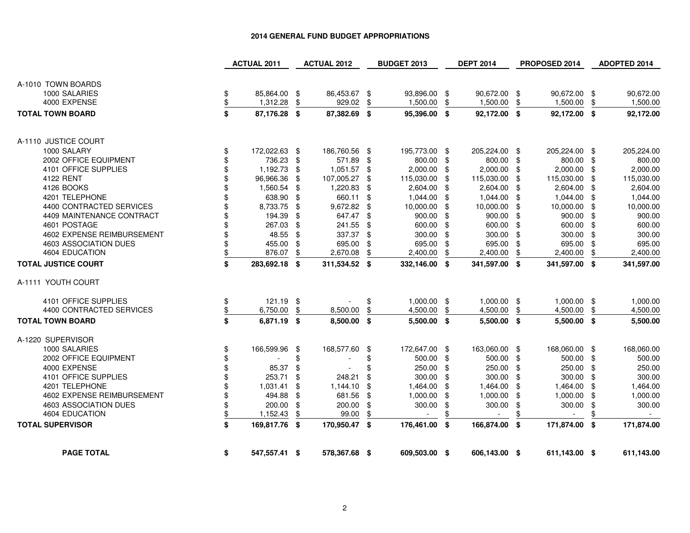|                            | <b>ACTUAL 2011</b>  |     | <b>ACTUAL 2012</b> |      | <b>BUDGET 2013</b> |      | <b>DEPT 2014</b>         |     | PROPOSED 2014            | ADOPTED 2014     |
|----------------------------|---------------------|-----|--------------------|------|--------------------|------|--------------------------|-----|--------------------------|------------------|
| A-1010 TOWN BOARDS         |                     |     |                    |      |                    |      |                          |     |                          |                  |
| 1000 SALARIES              | \$<br>85,864.00 \$  |     | 86,453.67 \$       |      | 93,896.00 \$       |      | 90,672.00 \$             |     | 90,672.00 \$             | 90,672.00        |
| 4000 EXPENSE               | \$<br>1,312.28      | \$  | 929.02             | \$   | 1,500.00           | \$   | 1,500.00                 | \$  | 1,500.00                 | \$<br>1,500.00   |
| <b>TOTAL TOWN BOARD</b>    | \$                  |     |                    |      | 95.396.00 \$       |      |                          |     |                          |                  |
|                            | 87,176.28 \$        |     | 87,382.69          | - \$ |                    |      | 92,172.00 \$             |     | 92,172.00 \$             | 92,172.00        |
| A-1110 JUSTICE COURT       |                     |     |                    |      |                    |      |                          |     |                          |                  |
| 1000 SALARY                | \$<br>172,022.63 \$ |     | 186,760.56 \$      |      | 195,773.00 \$      |      | 205,224.00 \$            |     | 205,224.00 \$            | 205,224.00       |
| 2002 OFFICE EQUIPMENT      | 736.23 \$           |     | 571.89 \$          |      | 800.00 \$          |      | 800.00 \$                |     | 800.00                   | \$<br>800.00     |
| 4101 OFFICE SUPPLIES       | \$<br>1,192.73 \$   |     | 1,051.57           | - \$ | $2,000.00$ \$      |      | 2,000.00                 | -\$ | 2,000.00                 | \$<br>2,000.00   |
| 4122 RENT                  | \$<br>96,966.36 \$  |     | 107,005.27         | - \$ | 115,030.00 \$      |      | 115,030.00               | -\$ | 115,030.00               | \$<br>115,030.00 |
| 4126 BOOKS                 | 1,560.54            | \$  | 1,220.83           | -\$  | 2,604.00 \$        |      | 2,604.00                 | -\$ | 2,604.00                 | \$<br>2,604.00   |
| 4201 TELEPHONE             | 638.90 \$           |     | 660.11             | \$   | 1,044.00 \$        |      | 1,044.00                 | \$  | 1,044.00                 | \$<br>1,044.00   |
| 4400 CONTRACTED SERVICES   | \$<br>8,733.75 \$   |     | 9,672.82           | -\$  | 10,000.00 \$       |      | 10,000.00                | -\$ | 10,000.00                | \$<br>10,000.00  |
| 4409 MAINTENANCE CONTRACT  | 194.39 \$           |     | 647.47 \$          |      | 900.00 \$          |      | 900.00                   | \$  | 900.00                   | \$<br>900.00     |
| 4601 POSTAGE               | 267.03 \$           |     | 241.55             | -\$  | 600.00 \$          |      | 600.00                   | -\$ | 600.00                   | \$<br>600.00     |
| 4602 EXPENSE REIMBURSEMENT | 48.55 \$            |     | 337.37             | -\$  | 300.00             | - \$ | 300.00                   | \$  | 300.00                   | \$<br>300.00     |
| 4603 ASSOCIATION DUES      | \$<br>455.00 \$     |     | 695.00             | \$   | 695.00             | \$   | 695.00                   | \$  | 695.00                   | \$<br>695.00     |
| 4604 EDUCATION             | \$<br>876.07        | \$  | 2,670.08           | \$   | 2,400.00           | \$   | 2,400.00                 | \$  | 2,400.00                 | \$<br>2,400.00   |
| <b>TOTAL JUSTICE COURT</b> | \$<br>283,692.18 \$ |     | 311,534.52 \$      |      | 332,146.00 \$      |      | 341,597.00               | -\$ | 341,597.00 \$            | 341,597.00       |
| A-1111 YOUTH COURT         |                     |     |                    |      |                    |      |                          |     |                          |                  |
| 4101 OFFICE SUPPLIES       | \$<br>121.19 \$     |     |                    | \$   | 1,000.00 \$        |      | 1,000.00                 | \$  | 1,000.00 \$              | 1,000.00         |
| 4400 CONTRACTED SERVICES   | \$<br>6,750.00      | \$  | 8,500.00           | \$   | 4,500.00           | \$   | 4,500.00                 | \$  | 4,500.00                 | \$<br>4,500.00   |
| <b>TOTAL TOWN BOARD</b>    | \$<br>6,871.19 \$   |     | 8,500.00 \$        |      | $5,500.00$ \$      |      | 5,500.00 \$              |     | $5,500.00$ \$            | 5,500.00         |
| A-1220 SUPERVISOR          |                     |     |                    |      |                    |      |                          |     |                          |                  |
| 1000 SALARIES              | \$<br>166,599.96 \$ |     | 168,577.60         | -\$  | 172,647.00 \$      |      | 163,060.00 \$            |     | 168,060.00 \$            | 168,060.00       |
| 2002 OFFICE EQUIPMENT      |                     | \$  |                    | \$   | 500.00 \$          |      | 500.00                   | -\$ | 500.00                   | \$<br>500.00     |
| 4000 EXPENSE               | \$<br>85.37         | \$  |                    | \$   | 250.00             | -\$  | 250.00                   | \$  | 250.00                   | \$<br>250.00     |
| 4101 OFFICE SUPPLIES       | 253.71              | \$  | 248.21             | \$   | 300.00             | \$   | 300.00                   | \$  | 300.00                   | \$<br>300.00     |
| 4201 TELEPHONE             | 1,031.41            | \$  | 1,144.10           | \$   | 1,464.00           | \$   | 1,464.00                 | \$  | 1,464.00                 | \$<br>1,464.00   |
| 4602 EXPENSE REIMBURSEMENT | 494.88              | -\$ | 681.56             | -\$  | 1,000.00           | -\$  | 1,000.00                 | \$  | 1,000.00                 | \$<br>1,000.00   |
| 4603 ASSOCIATION DUES      | \$<br>200.00        | \$  | 200.00             | \$   | 300.00             | \$   | 300.00                   | \$  | 300.00                   | \$<br>300.00     |
| 4604 EDUCATION             | \$<br>1,152.43      | \$  | 99.00              | \$   |                    | \$   | $\overline{\phantom{a}}$ | \$  | $\overline{\phantom{a}}$ | \$<br>$\sim$     |
| <b>TOTAL SUPERVISOR</b>    | \$<br>169,817.76 \$ |     | 170,950.47 \$      |      | 176,461.00 \$      |      | 166,874.00               | -\$ | 171,874.00 \$            | 171,874.00       |
| <b>PAGE TOTAL</b>          | \$<br>547,557.41 \$ |     | 578,367.68 \$      |      | 609,503.00 \$      |      | 606,143.00 \$            |     | 611,143.00 \$            | 611,143.00       |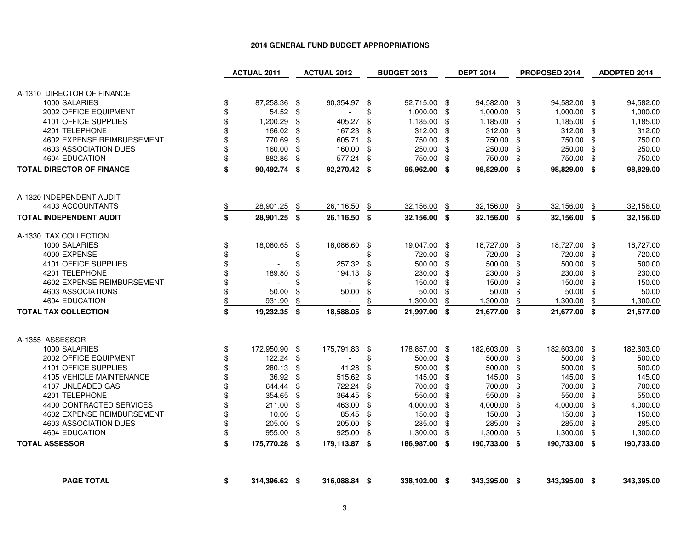|                                               |          | <b>ACTUAL 2011</b> | <b>ACTUAL 2012</b>    |      | <b>BUDGET 2013</b> |     | <b>DEPT 2014</b> |     | PROPOSED 2014 | ADOPTED 2014   |
|-----------------------------------------------|----------|--------------------|-----------------------|------|--------------------|-----|------------------|-----|---------------|----------------|
|                                               |          |                    |                       |      |                    |     |                  |     |               |                |
| A-1310 DIRECTOR OF FINANCE                    |          |                    |                       |      |                    |     |                  |     |               |                |
| 1000 SALARIES                                 | \$       | 87,258.36 \$       | 90,354.97 \$          |      | 92,715.00 \$       |     | 94,582.00 \$     |     | 94,582.00 \$  | 94,582.00      |
| 2002 OFFICE EQUIPMENT                         | \$       | 54.52              | \$                    | \$   | $1,000.00$ \$      |     | 1,000.00         | \$  | 1,000.00 \$   | 1,000.00       |
| 4101 OFFICE SUPPLIES                          | \$       | 1,200.29           | \$<br>405.27          | \$   | 1,185.00 \$        |     | 1,185.00         | -\$ | 1,185.00 \$   | 1,185.00       |
| 4201 TELEPHONE                                | \$       | 166.02             | \$<br>167.23          | \$   | $312.00$ \$        |     | 312.00           | \$  | 312.00 \$     | 312.00         |
| 4602 EXPENSE REIMBURSEMENT                    | \$       | 770.69             | \$<br>605.71          | \$   | 750.00             | \$  | 750.00           | \$  | 750.00 \$     | 750.00         |
| 4603 ASSOCIATION DUES                         | \$       | 160.00             | \$<br>160.00          | \$   | 250.00             | \$  | 250.00           | \$  | 250.00 \$     | 250.00         |
| 4604 EDUCATION                                | \$       | 882.86             | \$<br>577.24          | \$   | 750.00             | \$  | 750.00           | \$  | 750.00        | \$<br>750.00   |
| <b>TOTAL DIRECTOR OF FINANCE</b>              | \$       | 90,492.74 \$       | 92,270.42 \$          |      | 96,962.00 \$       |     | 98,829.00 \$     |     | 98,829.00 \$  | 98,829.00      |
|                                               |          |                    |                       |      |                    |     |                  |     |               |                |
| A-1320 INDEPENDENT AUDIT                      |          |                    |                       |      |                    |     |                  |     |               |                |
| 4403 ACCOUNTANTS                              | S        | 28,901.25          | \$<br>26,116.50       | \$   | 32,156.00          | \$  | 32,156.00        | \$  | 32,156.00 \$  | 32,156.00      |
| <b>TOTAL INDEPENDENT AUDIT</b>                | \$       | 28,901.25 \$       | 26.116.50 \$          |      | 32,156.00 \$       |     | 32,156.00 \$     |     | 32,156.00 \$  | 32,156.00      |
| A-1330 TAX COLLECTION                         |          |                    |                       |      |                    |     |                  |     |               |                |
| 1000 SALARIES                                 | \$       | 18,060.65 \$       | 18,086.60 \$          |      | 19,047.00 \$       |     | 18,727.00 \$     |     | 18,727.00 \$  | 18,727.00      |
| 4000 EXPENSE                                  | \$       |                    | \$                    | \$   | 720.00 \$          |     | 720.00           | \$  | 720.00 \$     | 720.00         |
| 4101 OFFICE SUPPLIES                          | \$       |                    | \$<br>257.32          | \$   | 500.00             | -\$ | 500.00           | \$  | 500.00 \$     | 500.00         |
| 4201 TELEPHONE                                | \$       | 189.80             | \$<br>194.13          | \$   | 230.00             | \$  | 230.00           | \$  | 230.00 \$     | 230.00         |
| 4602 EXPENSE REIMBURSEMENT                    | \$       |                    | \$                    | \$   | 150.00 \$          |     | 150.00           | \$  | 150.00 \$     | 150.00         |
| 4603 ASSOCIATIONS                             | \$       | 50.00              | \$<br>50.00           | \$   | 50.00              | \$  | 50.00            | \$  | $50.00$ \$    | 50.00          |
| 4604 EDUCATION                                | \$       | 931.90             | \$<br>$\sim$          | \$   | 1,300.00           | \$  | 1,300.00         | \$  | 1,300.00      | \$<br>1,300.00 |
| <b>TOTAL TAX COLLECTION</b>                   | \$       | 19,232.35 \$       | 18,588.05             | - \$ | 21,997.00 \$       |     | 21,677.00 \$     |     | 21,677.00 \$  | 21,677.00      |
| A-1355 ASSESSOR                               |          |                    |                       |      |                    |     |                  |     |               |                |
|                                               |          |                    |                       |      |                    |     |                  |     |               |                |
| 1000 SALARIES                                 | \$       | 172,950.90 \$      | 175,791.83 \$         |      | 178,857.00 \$      |     | 182,603.00 \$    |     | 182,603.00 \$ | 182,603.00     |
| 2002 OFFICE EQUIPMENT<br>4101 OFFICE SUPPLIES | \$       | 122.24             | \$<br>$\sim$<br>41.28 | \$   | 500.00 \$          |     | 500.00<br>500.00 | \$  | 500.00 \$     | 500.00         |
|                                               | \$       | 280.13             | \$                    | \$   | 500.00             | \$  |                  | \$  | 500.00 \$     | 500.00         |
| 4105 VEHICLE MAINTENANCE                      | \$<br>\$ | 36.92              | \$<br>515.62          | -\$  | 145.00 \$          |     | 145.00           | \$  | 145.00 \$     | 145.00         |
| 4107 UNLEADED GAS                             | \$       | 644.44             | \$<br>722.24          | \$   | 700.00             | \$  | 700.00           | \$  | 700.00 \$     | 700.00         |
| 4201 TELEPHONE                                |          | 354.65             | \$<br>364.45          | \$   | 550.00             | \$  | 550.00           | \$  | 550.00 \$     | 550.00         |
| 4400 CONTRACTED SERVICES                      | \$       | 211.00             | \$<br>463.00          | -\$  | 4,000.00 \$        |     | 4,000.00         | \$  | 4,000.00 \$   | 4,000.00       |
| 4602 EXPENSE REIMBURSEMENT                    | \$       | 10.00              | \$<br>85.45           | -\$  | 150.00             | \$  | 150.00           | \$  | 150.00 \$     | 150.00         |
| 4603 ASSOCIATION DUES                         | \$       | 205.00             | \$<br>205.00          | \$   | 285.00             | \$  | 285.00           | \$  | 285.00 \$     | 285.00         |
| 4604 EDUCATION                                | \$       | 955.00             | \$<br>925.00          | \$   | 1,300.00           | \$  | 1,300.00         | \$  | 1,300.00      | \$<br>1,300.00 |
| <b>TOTAL ASSESSOR</b>                         | \$       | 175,770.28 \$      | 179,113.87 \$         |      | 186,987.00 \$      |     | 190,733.00 \$    |     | 190,733.00 \$ | 190,733.00     |
|                                               |          |                    |                       |      |                    |     |                  |     |               |                |
| <b>PAGE TOTAL</b>                             | \$       | 314,396.62 \$      | 316,088.84 \$         |      | 338,102.00 \$      |     | 343,395.00 \$    |     | 343,395.00 \$ | 343,395.00     |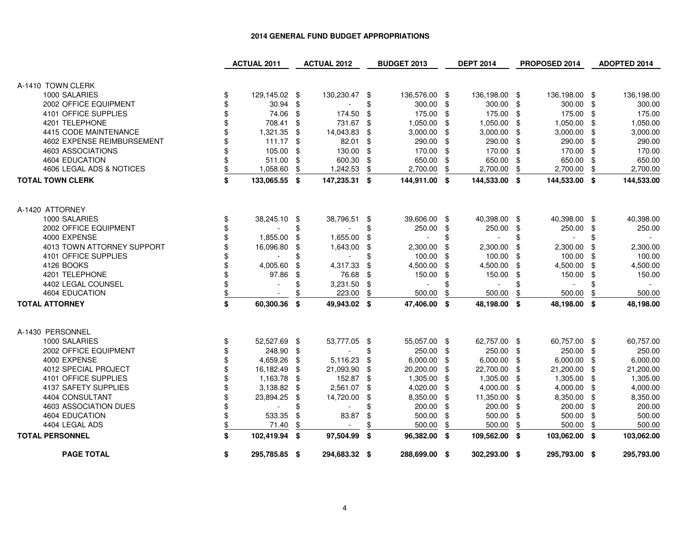|                            | <b>ACTUAL 2011</b>       |     | <b>ACTUAL 2012</b>       |      | <b>BUDGET 2013</b> |     | <b>DEPT 2014</b> |      | PROPOSED 2014 | ADOPTED 2014     |
|----------------------------|--------------------------|-----|--------------------------|------|--------------------|-----|------------------|------|---------------|------------------|
|                            |                          |     |                          |      |                    |     |                  |      |               |                  |
| A-1410 TOWN CLERK          |                          |     |                          |      |                    |     |                  |      |               |                  |
| 1000 SALARIES              | \$<br>129,145.02 \$      |     | 130,230.47               | -\$  | 136,576.00 \$      |     | 136,198.00 \$    |      | 136,198.00 \$ | 136,198.00       |
| 2002 OFFICE EQUIPMENT      | \$<br>30.94              | -\$ |                          | \$   | 300.00 \$          |     | 300.00 \$        |      | 300.00        | \$<br>300.00     |
| 4101 OFFICE SUPPLIES       | 74.06                    | -\$ | 174.50                   | \$   | 175.00             | -\$ | 175.00 \$        |      | 175.00        | \$<br>175.00     |
| 4201 TELEPHONE             | 708.41 \$                |     | 731.67                   | \$   | 1,050.00           | -\$ | 1,050.00         | - \$ | 1,050.00      | \$<br>1,050.00   |
| 4415 CODE MAINTENANCE      | 1,321.35                 | -\$ | 14,043.83                | \$   | 3,000.00           | \$  | $3,000.00$ \$    |      | 3,000.00      | \$<br>3,000.00   |
| 4602 EXPENSE REIMBURSEMENT | $111.17$ \$              |     | 82.01                    | \$   | 290.00             | \$  | 290.00 \$        |      | 290.00        | \$<br>290.00     |
| 4603 ASSOCIATIONS          | 105.00                   | \$  | 130.00                   | -\$  | 170.00             | -\$ | 170.00 \$        |      | 170.00        | \$<br>170.00     |
| 4604 EDUCATION             | 511.00                   | \$  | 600.30                   | \$   | 650.00             | \$  | 650.00           | \$   | 650.00        | \$<br>650.00     |
| 4606 LEGAL ADS & NOTICES   | 1,058.60                 | \$  | 1,242.53                 | \$   | 2,700.00           | \$  | 2,700.00         | \$   | 2,700.00      | \$<br>2,700.00   |
| <b>TOTAL TOWN CLERK</b>    | \$<br>133,065.55 \$      |     | 147,235.31               | \$   | 144,911.00 \$      |     | 144,533.00 \$    |      | 144,533.00 \$ | 144,533.00       |
| A-1420 ATTORNEY            |                          |     |                          |      |                    |     |                  |      |               |                  |
| 1000 SALARIES              | \$<br>38,245.10 \$       |     | 38,796.51                | \$   | 39,606.00 \$       |     | 40,398.00 \$     |      | 40,398.00 \$  | 40,398.00        |
| 2002 OFFICE EQUIPMENT      |                          | \$  |                          | \$   | 250.00             | \$  | 250.00           | \$   | 250.00        | \$<br>250.00     |
| 4000 EXPENSE               | 1,855.00                 | \$  | 1,655.00                 | \$   |                    | \$  |                  |      |               | \$               |
| 4013 TOWN ATTORNEY SUPPORT | 16,096.80                | \$  | 1,643.00                 | \$   | 2,300.00           | \$  | 2,300.00         | \$   | 2,300.00      | \$<br>2,300.00   |
| 4101 OFFICE SUPPLIES       |                          | \$  | $\sim$                   | \$   | 100.00             | \$  | 100.00           | \$   | 100.00        | \$<br>100.00     |
| 4126 BOOKS                 | 4,005.60                 | \$  | 4,317.33                 | \$   | 4,500.00           | \$  | 4,500.00         | \$   | 4,500.00      | \$<br>4,500.00   |
| 4201 TELEPHONE             | 97.86                    | \$  | 76.68                    | \$   | 150.00             | \$  | 150.00           | \$   | 150.00        | \$<br>150.00     |
| 4402 LEGAL COUNSEL         |                          | \$  | 3,231.50                 | \$   | $\mathbf{r}$       |     | $\blacksquare$   |      | $\sim$        | \$               |
| 4604 EDUCATION             | $\overline{\phantom{a}}$ | \$  | 223.00                   | \$   | 500.00             | \$  | 500.00           | \$   | 500.00        | \$<br>500.00     |
| <b>TOTAL ATTORNEY</b>      | \$<br>60,300.36          | \$  | 49,943.02                | \$   | 47,406.00          | \$  | 48,198.00        | \$   | 48,198.00     | \$<br>48,198.00  |
|                            |                          |     |                          |      |                    |     |                  |      |               |                  |
| A-1430 PERSONNEL           |                          |     |                          |      |                    |     |                  |      |               |                  |
| 1000 SALARIES              | \$<br>52,527.69 \$       |     | 53,777.05                | - \$ | 55,057.00 \$       |     | 62,757.00 \$     |      | 60,757.00 \$  | 60,757.00        |
| 2002 OFFICE EQUIPMENT      | 248.90 \$                |     |                          | \$   | 250.00 \$          |     | 250.00 \$        |      | 250.00 \$     | 250.00           |
| 4000 EXPENSE               | 4,659.26                 | \$  | 5,116.23                 | -\$  | $6,000.00$ \$      |     | $6,000.00$ \$    |      | 6,000.00      | \$<br>6,000.00   |
| 4012 SPECIAL PROJECT       | 16,182.49                | \$  | 21,093.90                | \$   | 20,200.00          | \$  | 22,700.00 \$     |      | 21,200.00     | \$<br>21,200.00  |
| 4101 OFFICE SUPPLIES       | 1,163.78                 | \$  | 152.87                   | \$   | 1,305.00           | -\$ | 1,305.00 \$      |      | 1,305.00      | \$<br>1,305.00   |
| 4137 SAFETY SUPPLIES       | $3,138.82$ \$            |     | 2,561.07                 | \$   | 4,020.00           | \$  | 4,000.00 \$      |      | 4,000.00      | \$<br>4,000.00   |
| 4404 CONSULTANT            | 23,894.25                | \$  | 14,720.00                | \$   | 8,350.00           | -\$ | 11,350.00        | -\$  | 8,350.00      | \$<br>8,350.00   |
| 4603 ASSOCIATION DUES      |                          | \$  |                          | \$   | 200.00             | \$  | 200.00           | \$   | 200.00        | \$<br>200.00     |
| 4604 EDUCATION             | \$<br>533.35             | \$  | 83.87                    | \$   | 500.00             | \$  | 500.00           | \$   | 500.00        | \$<br>500.00     |
| 4404 LEGAL ADS             | \$<br>71.40              | \$  | $\overline{\phantom{a}}$ | \$   | 500.00             | \$  | 500.00           | \$   | 500.00        | \$<br>500.00     |
| <b>TOTAL PERSONNEL</b>     | \$<br>102,419.94         | -\$ | 97,504.99                | \$   | 96,382.00 \$       |     | 109,562.00 \$    |      | 103,062.00    | \$<br>103,062.00 |
| <b>PAGE TOTAL</b>          | \$<br>295,785.85 \$      |     | 294,683.32 \$            |      | 288,699.00 \$      |     | 302,293.00 \$    |      | 295,793.00 \$ | 295,793.00       |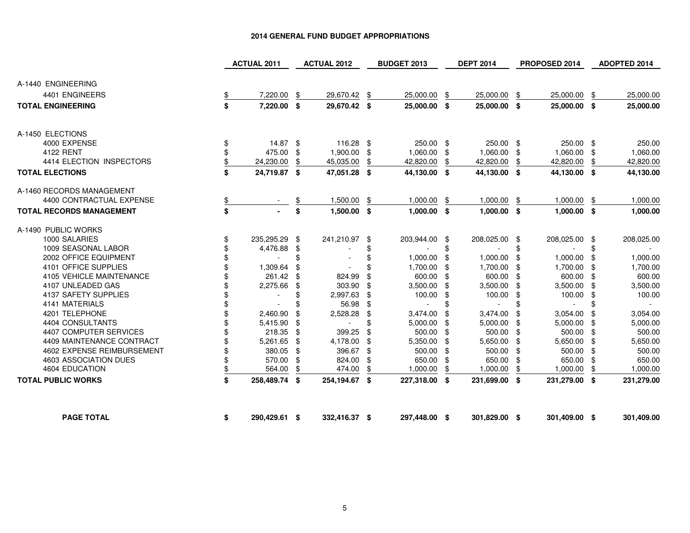|                                 | <b>ACTUAL 2011</b> |                          |      | <b>ACTUAL 2012</b>       | <b>BUDGET 2013</b><br><b>DEPT 2014</b> |                |     | PROPOSED 2014 |      |               | ADOPTED 2014 |            |
|---------------------------------|--------------------|--------------------------|------|--------------------------|----------------------------------------|----------------|-----|---------------|------|---------------|--------------|------------|
| A-1440 ENGINEERING              |                    |                          |      |                          |                                        |                |     |               |      |               |              |            |
| 4401 ENGINEERS                  | \$                 | 7,220.00                 | \$   | 29,670.42                | \$                                     | 25,000.00      | \$  | 25,000.00     | \$   | 25,000.00     | \$           | 25,000.00  |
| <b>TOTAL ENGINEERING</b>        | \$                 | 7,220.00 \$              |      | 29,670.42 \$             |                                        | 25,000.00 \$   |     | 25,000.00 \$  |      | 25,000.00 \$  |              | 25,000.00  |
|                                 |                    |                          |      |                          |                                        |                |     |               |      |               |              |            |
| A-1450 ELECTIONS                |                    |                          |      |                          |                                        |                |     |               |      |               |              |            |
| 4000 EXPENSE                    | \$                 | $14.87$ \$               |      | 116.28 \$                |                                        | 250.00 \$      |     | 250.00 \$     |      | 250.00 \$     |              | 250.00     |
| 4122 RENT                       | \$                 | 475.00                   | - \$ | 1,900.00                 | -\$                                    | 1,060.00 \$    |     | 1,060.00      | \$   | 1,060.00      | -\$          | 1,060.00   |
| 4414 ELECTION INSPECTORS        | \$                 | 24,230.00                | \$   | 45,035.00                | \$                                     | 42,820.00      | \$  | 42,820.00     | \$   | 42,820.00     | \$           | 42,820.00  |
| <b>TOTAL ELECTIONS</b>          | \$                 | 24,719.87 \$             |      | 47,051.28 \$             |                                        | 44,130.00 \$   |     | 44,130.00 \$  |      | 44,130.00 \$  |              | 44,130.00  |
| A-1460 RECORDS MANAGEMENT       |                    |                          |      |                          |                                        |                |     |               |      |               |              |            |
| 4400 CONTRACTUAL EXPENSE        | \$                 |                          | \$   | 1,500.00                 | \$                                     | 1,000.00       | -\$ | 1,000.00      | \$   | 1,000.00      | \$           | 1,000.00   |
| <b>TOTAL RECORDS MANAGEMENT</b> | \$                 |                          | \$   | $1,500.00$ \$            |                                        | $1,000.00$ \$  |     | $1,000.00$ \$ |      | $1,000.00$ \$ |              | 1,000.00   |
| A-1490 PUBLIC WORKS             |                    |                          |      |                          |                                        |                |     |               |      |               |              |            |
| 1000 SALARIES                   | \$                 | 235,295.29 \$            |      | 241,210.97 \$            |                                        | 203,944.00 \$  |     | 208,025.00 \$ |      | 208,025.00 \$ |              | 208,025.00 |
| 1009 SEASONAL LABOR             |                    | 4,476.88                 | \$   |                          |                                        |                | \$  |               | \$   |               | \$           |            |
| 2002 OFFICE EQUIPMENT           |                    | ÷,                       | \$   |                          |                                        | 1,000.00       | -\$ | 1,000.00      | \$   | 1,000.00      | \$           | 1,000.00   |
| 4101 OFFICE SUPPLIES            |                    | 1,309.64                 | \$   |                          |                                        | 1,700.00 \$    |     | 1,700.00      | \$   | 1,700.00      | - \$         | 1,700.00   |
| 4105 VEHICLE MAINTENANCE        |                    | 261.42 \$                |      | 824.99                   |                                        | 600.00 \$      |     | 600.00        | \$   | 600.00 \$     |              | 600.00     |
| 4107 UNLEADED GAS               |                    | 2,275.66                 | \$   | 303.90                   | \$                                     | 3,500.00       | \$  | 3,500.00      | \$   | 3,500.00      | - \$         | 3,500.00   |
| 4137 SAFETY SUPPLIES            |                    | $\overline{\phantom{a}}$ | \$   | 2,997.63                 | \$                                     | 100.00         | -\$ | 100.00        | \$   | 100.00        | -\$          | 100.00     |
| 4141 MATERIALS                  |                    |                          |      | 56.98                    | -\$                                    | $\overline{a}$ |     |               | \$   |               | \$           | $\sim$     |
| 4201 TELEPHONE                  |                    | 2,460.90                 | £.   | 2,528.28                 | \$                                     | 3,474.00       |     | 3,474.00      | \$   | 3,054.00      | \$           | 3,054.00   |
| 4404 CONSULTANTS                |                    | 5,415.90                 | \$   | $\overline{\phantom{a}}$ |                                        | 5,000.00       | \$  | 5,000.00      | \$   | 5,000.00      | -\$          | 5,000.00   |
| 4407 COMPUTER SERVICES          |                    | 218.35                   | \$   | 399.25                   | \$                                     | 500.00         | \$  | 500.00        | \$   | 500.00 \$     |              | 500.00     |
| 4409 MAINTENANCE CONTRACT       |                    | 5,261.65                 | \$   | 4,178.00                 | \$                                     | 5,350.00       | \$  | 5,650.00      | \$   | 5,650.00      | \$           | 5,650.00   |
| 4602 EXPENSE REIMBURSEMENT      |                    | 380.05                   | -\$  | 396.67 \$                |                                        | 500.00 \$      |     | 500.00        | \$   | 500.00        | -\$          | 500.00     |
| 4603 ASSOCIATION DUES           |                    | 570.00                   | \$   | 824.00                   | \$                                     | 650.00         | \$  | 650.00        | \$   | 650.00        | \$           | 650.00     |
| 4604 EDUCATION                  | \$                 | 564.00                   | \$   | 474.00                   | \$                                     | 1,000.00       | \$  | 1,000.00      | \$   | 1,000.00      | \$           | 1,000.00   |
| <b>TOTAL PUBLIC WORKS</b>       | \$                 | 258,489.74               | - \$ | 254,194.67 \$            |                                        | 227,318.00 \$  |     | 231,699.00    | - \$ | 231,279.00 \$ |              | 231,279.00 |
| <b>PAGE TOTAL</b>               | \$                 | 290,429.61 \$            |      | 332,416.37 \$            |                                        | 297,448.00 \$  |     | 301,829.00 \$ |      | 301,409.00 \$ |              | 301,409.00 |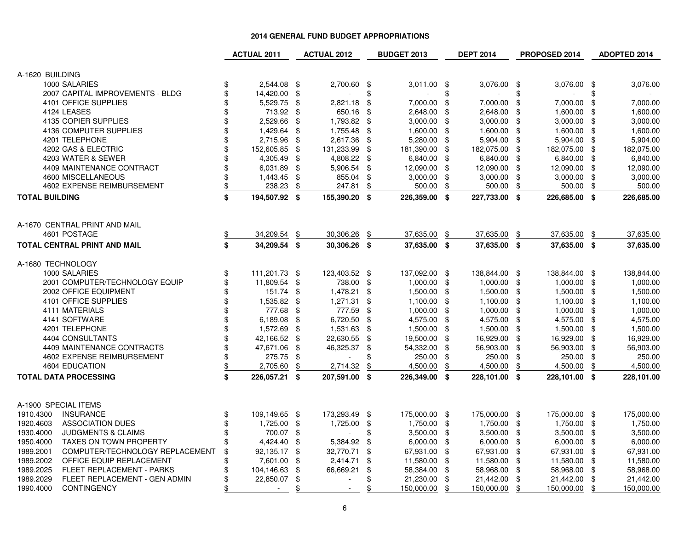|                                              | <b>ACTUAL 2011</b>  |               | <b>ACTUAL 2012</b>       |      | <b>BUDGET 2013</b> |      | <b>DEPT 2014</b> |      | PROPOSED 2014 |                            | <b>ADOPTED 2014</b> |
|----------------------------------------------|---------------------|---------------|--------------------------|------|--------------------|------|------------------|------|---------------|----------------------------|---------------------|
| A-1620 BUILDING                              |                     |               |                          |      |                    |      |                  |      |               |                            |                     |
| 1000 SALARIES                                | \$<br>2,544.08 \$   |               | 2,700.60                 | - \$ | 3,011.00           | - \$ | 3,076.00 \$      |      | 3,076.00 \$   |                            | 3,076.00            |
| 2007 CAPITAL IMPROVEMENTS - BLDG             | \$<br>14,420.00     | $\frac{1}{2}$ |                          | \$   |                    | \$   |                  | \$   |               | \$                         |                     |
| 4101 OFFICE SUPPLIES                         | \$<br>5,529.75      | \$            | 2,821.18                 | \$   | 7,000.00           | \$   | 7,000.00         | \$   | 7,000.00      | \$                         | 7,000.00            |
| 4124 LEASES                                  | \$<br>713.92        | \$            | 650.16                   | \$   | 2,648.00           | \$   | 2,648.00         | -\$  | 1,600.00      | \$                         | 1,600.00            |
| 4135 COPIER SUPPLIES                         | \$<br>2,529.66      | \$            | 1,793.82                 | \$   | 3,000.00           | \$   | 3,000.00         | - \$ | 3,000.00      | \$                         | 3,000.00            |
| 4136 COMPUTER SUPPLIES                       | \$<br>1,429.64      | \$            | 1,755.48                 | \$   | 1,600.00           | \$   | 1,600.00         | \$   | 1,600.00      | \$                         | 1,600.00            |
| 4201 TELEPHONE                               | \$<br>2,715.96      | \$            | 2,617.36                 | \$   | 5,280.00           | \$   | 5,904.00 \$      |      | 5,904.00      | \$                         | 5,904.00            |
| 4202 GAS & ELECTRIC                          | \$<br>152,605.85    | \$            | 131,233.99               | \$   | 181,390.00         | \$   | 182,075.00 \$    |      | 182,075.00    | \$                         | 182,075.00          |
| 4203 WATER & SEWER                           | \$<br>4,305.49      | \$            | 4,808.22                 | \$   | 6,840.00           | \$   | 6,840.00 \$      |      | 6,840.00      | \$                         | 6,840.00            |
| 4409 MAINTENANCE CONTRACT                    | \$<br>6,031.89      | \$            | 5,906.54                 | \$   | 12,090.00          | \$   | 12,090.00 \$     |      | 12,090.00     | \$                         | 12,090.00           |
| 4600 MISCELLANEOUS                           | \$<br>1,443.45      | \$            | 855.04                   | \$   | 3,000.00           | \$   | $3,000.00$ \$    |      | 3,000.00      | \$                         | 3,000.00            |
| 4602 EXPENSE REIMBURSEMENT                   | \$<br>238.23        | \$            | 247.81                   | \$   | 500.00             | \$   | 500.00           | \$   | 500.00        | \$                         | 500.00              |
| <b>TOTAL BUILDING</b>                        | \$<br>194,507.92 \$ |               | 155,390.20               | -\$  | 226,359.00 \$      |      | 227,733.00 \$    |      | 226,685.00 \$ |                            | 226,685.00          |
| A-1670 CENTRAL PRINT AND MAIL                |                     |               |                          |      |                    |      |                  |      |               |                            |                     |
| 4601 POSTAGE                                 | 34,209.54           | \$            | 30,306.26                | \$   | 37,635.00          | \$   | 37,635.00        | \$   | 37,635.00     | \$                         | 37,635.00           |
| <b>TOTAL CENTRAL PRINT AND MAIL</b>          | \$<br>34,209.54 \$  |               | 30,306.26                | - \$ | 37,635.00 \$       |      | 37.635.00 \$     |      | 37,635.00 \$  |                            | 37,635.00           |
| A-1680 TECHNOLOGY                            |                     |               |                          |      |                    |      |                  |      |               |                            |                     |
| 1000 SALARIES                                | \$<br>111,201.73 \$ |               | 123,403.52 \$            |      | 137,092.00 \$      |      | 138,844.00 \$    |      | 138,844.00 \$ |                            | 138,844.00          |
| 2001 COMPUTER/TECHNOLOGY EQUIP               | \$<br>11,809.54     | \$            | 738.00                   | \$   | 1,000.00           | \$   | 1,000.00 \$      |      | 1,000.00      | $\boldsymbol{\mathsf{\$}}$ | 1,000.00            |
| 2002 OFFICE EQUIPMENT                        | \$<br>151.74        | \$            | 1,478.21                 | \$   | 1,500.00           | \$   | 1,500.00         | - \$ | 1,500.00      | \$                         | 1,500.00            |
| 4101 OFFICE SUPPLIES                         | \$<br>1,535.82      | \$            | 1,271.31                 | -\$  | 1,100.00           | -\$  | 1,100.00 \$      |      | 1,100.00      | \$                         | 1,100.00            |
| 4111 MATERIALS                               | \$<br>777.68        | \$            | 777.59                   | \$   | 1,000.00           | \$   | 1,000.00 \$      |      | 1,000.00      | \$                         | 1,000.00            |
| 4141 SOFTWARE                                | \$<br>6,189.08      | \$            | 6,720.50                 | \$   | 4,575.00           | \$   | 4,575.00 \$      |      | 4,575.00      | \$                         | 4,575.00            |
| 4201 TELEPHONE                               | \$<br>1,572.69      | \$            | 1,531.63                 | \$   | 1,500.00           | \$   | 1,500.00 \$      |      | 1,500.00      | \$                         | 1,500.00            |
| 4404 CONSULTANTS                             | \$<br>42,166.52     | \$            | 22,630.55                | \$   | 19,500.00          | \$   | 16,929.00        | - \$ | 16,929.00     | \$                         | 16,929.00           |
| 4409 MAINTENANCE CONTRACTS                   | \$<br>47,671.06     | \$            | 46,325.37                | \$   | 54,332.00          | \$   | 56,903.00 \$     |      | 56,903.00     | \$                         | 56,903.00           |
| 4602 EXPENSE REIMBURSEMENT                   | \$<br>275.75        | \$            |                          | \$   | 250.00             | \$   | 250.00           | \$   | 250.00        | \$                         | 250.00              |
| 4604 EDUCATION                               | \$<br>2,705.60      | \$            | 2,714.32                 | \$   | 4,500.00           | \$   | 4,500.00         | \$   | 4,500.00      | \$                         | 4,500.00            |
| <b>TOTAL DATA PROCESSING</b>                 | \$<br>226,057.21    | \$            | 207,591.00               | \$   | 226,349.00 \$      |      | 228,101.00 \$    |      | 228,101.00 \$ |                            | 228,101.00          |
| A-1900 SPECIAL ITEMS                         |                     |               |                          |      |                    |      |                  |      |               |                            |                     |
| 1910.4300<br><b>INSURANCE</b>                | \$<br>109,149.65 \$ |               | 173,293.49               | -\$  | 175,000.00 \$      |      | 175,000.00 \$    |      | 175,000.00 \$ |                            | 175,000.00          |
| 1920.4603<br><b>ASSOCIATION DUES</b>         | \$<br>1,725.00      | \$            | 1,725.00                 | \$   | 1,750.00           | -\$  | 1,750.00 \$      |      | 1,750.00      | -\$                        | 1,750.00            |
| 1930.4000<br><b>JUDGMENTS &amp; CLAIMS</b>   | \$<br>700.07        | \$            | $\overline{\phantom{a}}$ | \$   | 3,500.00           | -\$  | 3,500.00 \$      |      | 3,500.00      | \$                         | 3,500.00            |
| 1950.4000<br><b>TAXES ON TOWN PROPERTY</b>   | \$<br>4,424.40      | \$            | 5,384.92                 | \$   | 6,000.00           | \$   | 6,000.00 \$      |      | 6,000.00      | \$                         | 6,000.00            |
| 1989.2001<br>COMPUTER/TECHNOLOGY REPLACEMENT | \$<br>92,135.17     | \$            | 32,770.71                | \$   | 67,931.00          | \$   | 67,931.00 \$     |      | 67,931.00     | \$                         | 67,931.00           |
| 1989.2002<br>OFFICE EQUIP REPLACEMENT        | \$<br>7,601.00      | \$            | 2,414.71                 | \$   | 11,580.00          | \$   | 11,580.00 \$     |      | 11,580.00     | \$                         | 11,580.00           |
| 1989.2025<br>FLEET REPLACEMENT - PARKS       | \$<br>104,146.63    | \$            | 66,669.21                | \$   | 58,384.00          | \$   | 58,968.00        | - \$ | 58,968.00     | \$                         | 58,968.00           |
| 1989.2029<br>FLEET REPLACEMENT - GEN ADMIN   | \$<br>22,850.07     | \$            |                          | \$   | 21,230.00          | \$   | 21,442.00        | \$   | 21,442.00     | \$                         | 21,442.00           |
| 1990.4000<br><b>CONTINGENCY</b>              | \$<br>$\sim$        | \$            |                          | \$   | 150,000.00         | \$   | 150,000.00       | \$   | 150,000.00    | \$                         | 150,000.00          |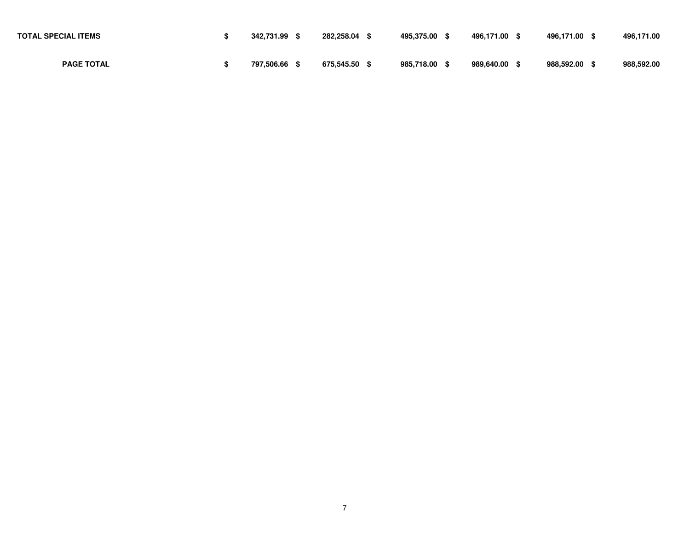| <b>TOTAL SPECIAL ITEMS</b> | 342.731.99 | 282,258.04    | 495.375.00 | 496.171.00 | 496,171.00 \$ | 496.171.00 |
|----------------------------|------------|---------------|------------|------------|---------------|------------|
| <b>PAGE TOTAL</b>          | 797.506.66 | 675.545.50 \$ | 985.718.00 | 989.640.00 | 988.592.00 \$ | 988,592.00 |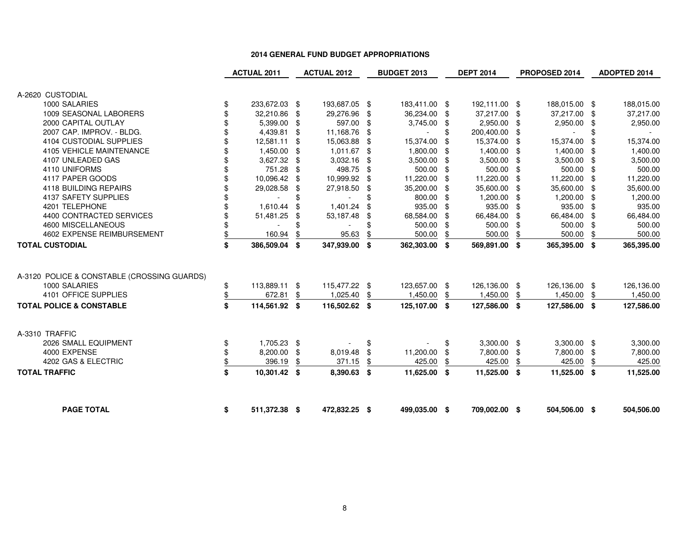|                                             | <b>ACTUAL 2011</b>                       | <b>ACTUAL 2012</b>                         |      | <b>BUDGET 2013</b>            |           | <b>DEPT 2014</b>              |      | PROPOSED 2014                 |          | ADOPTED 2014            |
|---------------------------------------------|------------------------------------------|--------------------------------------------|------|-------------------------------|-----------|-------------------------------|------|-------------------------------|----------|-------------------------|
| A-2620 CUSTODIAL                            |                                          |                                            |      |                               |           |                               |      |                               |          |                         |
| 1000 SALARIES                               |                                          |                                            |      |                               |           |                               |      |                               |          |                         |
| 1009 SEASONAL LABORERS                      | \$<br>233,672.03 \$<br>32,210.86 \$      | 193,687.05 \$<br>29,276.96 \$              |      | 183,411.00 \$<br>36,234.00 \$ |           | 192,111.00 \$<br>37,217.00 \$ |      | 188,015.00 \$<br>37,217.00 \$ |          | 188,015.00<br>37,217.00 |
| 2000 CAPITAL OUTLAY                         |                                          | 597.00 \$                                  |      | 3,745.00 \$                   |           | 2,950.00 \$                   |      | 2,950.00                      |          |                         |
| 2007 CAP. IMPROV. - BLDG.                   | 5,399.00 \$                              |                                            |      |                               | \$        | 200,400.00 \$                 |      |                               | \$       | 2,950.00                |
| 4104 CUSTODIAL SUPPLIES                     | 4,439.81 \$                              | 11,168.76 \$<br>15,063.88                  |      | 15,374.00                     |           | 15,374.00 \$                  |      | 15,374.00                     | \$       | 15,374.00               |
| 4105 VEHICLE MAINTENANCE                    | 12,581.11 \$                             | 1,011.67 \$                                | -\$  | 1,800.00                      | \$        | 1,400.00 \$                   |      | 1,400.00                      |          | 1,400.00                |
| 4107 UNLEADED GAS                           | 1,450.00 \$<br>3,627.32 \$               | 3,032.16                                   |      | 3,500.00                      | \$        | $3,500.00$ \$                 |      | 3,500.00                      | \$       | 3,500.00                |
| 4110 UNIFORMS                               | 751.28 \$                                | 498.75 \$                                  | \$   |                               | - \$      | 500.00 \$                     |      |                               | \$       | 500.00                  |
| 4117 PAPER GOODS                            | 10,096.42 \$                             |                                            |      | 500.00                        | -\$       |                               |      | 500.00                        | -\$      | 11,220.00               |
| 4118 BUILDING REPAIRS                       |                                          | 10,999.92 \$                               |      | 11,220.00                     | \$<br>-\$ | 11,220.00                     | -\$  | 11,220.00<br>35,600.00        | \$       |                         |
| 4137 SAFETY SUPPLIES                        | 29,028.58 \$<br>$\overline{\phantom{a}}$ | \$<br>27,918.50 \$                         |      | 35,200.00<br>800.00           | \$        | 35,600.00 \$<br>1,200.00 \$   |      | 1,200.00                      | \$<br>\$ | 35,600.00               |
| 4201 TELEPHONE                              | 1,610.44                                 | \$<br>$\overline{\phantom{a}}$<br>1,401.24 | \$   | 935.00                        | -\$       | 935.00 \$                     |      | 935.00                        | \$       | 1,200.00<br>935.00      |
| 4400 CONTRACTED SERVICES                    | 51,481.25                                | \$<br>53,187.48                            | \$   | 68,584.00                     | \$        | 66,484.00                     | - \$ | 66,484.00                     | \$       | 66,484.00               |
| 4600 MISCELLANEOUS                          |                                          |                                            |      | 500.00                        | \$        | 500.00                        | - \$ | 500.00                        | \$       | 500.00                  |
| 4602 EXPENSE REIMBURSEMENT                  | 160.94                                   | \$<br>95.63                                |      | 500.00                        | \$        | 500.00                        |      | 500.00                        | \$       | 500.00                  |
| TOTAL CUSTODIAL                             | \$<br>386,509.04 \$                      | 347,939.00                                 | \$   | 362,303.00 \$                 |           |                               | \$   | 365,395.00 \$                 |          |                         |
|                                             |                                          |                                            |      |                               |           | 569,891.00 \$                 |      |                               |          | 365,395.00              |
| A-3120 POLICE & CONSTABLE (CROSSING GUARDS) |                                          |                                            |      |                               |           |                               |      |                               |          |                         |
| 1000 SALARIES                               | \$<br>113,889.11 \$                      | 115,477.22 \$                              |      | 123,657.00 \$                 |           | 126,136.00 \$                 |      | 126,136.00 \$                 |          | 126,136.00              |
| 4101 OFFICE SUPPLIES                        | \$<br>672.81                             | \$<br>1,025.40                             | \$   | 1,450.00                      | \$        | 1,450.00                      | \$   | 1,450.00                      | \$       | 1,450.00                |
| <b>TOTAL POLICE &amp; CONSTABLE</b>         | \$<br>114,561.92 \$                      | 116,502.62 \$                              |      | 125,107.00 \$                 |           | 127,586.00 \$                 |      | 127,586.00 \$                 |          | 127,586.00              |
| A-3310 TRAFFIC                              |                                          |                                            |      |                               |           |                               |      |                               |          |                         |
| 2026 SMALL EQUIPMENT                        | \$<br>1,705.23 \$                        |                                            | \$   |                               | \$        | $3,300.00$ \$                 |      | $3,300.00$ \$                 |          | 3,300.00                |
| 4000 EXPENSE                                | \$<br>8,200.00 \$                        | 8,019.48 \$                                |      | 11,200.00                     | \$        | 7,800.00 \$                   |      | 7,800.00                      | -\$      | 7,800.00                |
| 4202 GAS & ELECTRIC                         | \$<br>396.19                             | \$<br>371.15                               |      | 425.00                        |           | 425.00                        |      | 425.00                        | \$       | 425.00                  |
| <b>TOTAL TRAFFIC</b>                        | \$<br>10,301.42 \$                       | 8,390.63                                   | - \$ | 11,625.00                     | - \$      | 11,525.00                     | -\$  | 11,525.00 \$                  |          | 11,525.00               |
| <b>PAGE TOTAL</b>                           | \$<br>511,372.38 \$                      | 472,832.25 \$                              |      | 499,035.00 \$                 |           | 709,002.00 \$                 |      | 504,506.00 \$                 |          | 504,506.00              |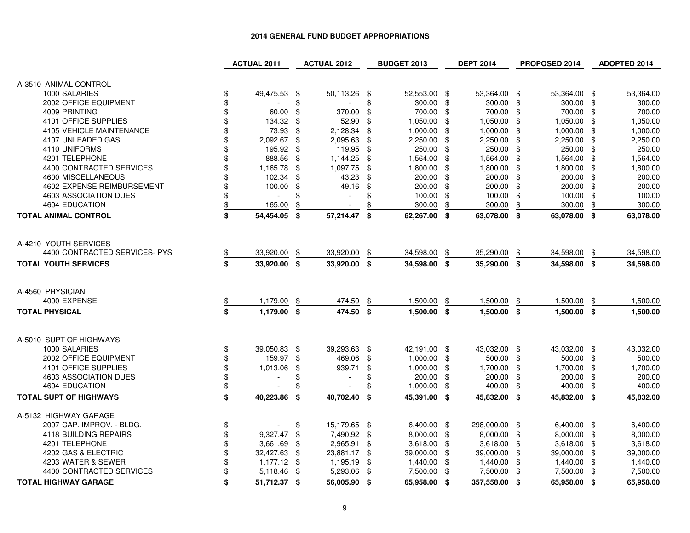|                               | <b>ACTUAL 2011</b>             |     | <b>ACTUAL 2012</b>       |     | <b>BUDGET 2013</b> |     | <b>DEPT 2014</b> |     | PROPOSED 2014 |     | ADOPTED 2014 |
|-------------------------------|--------------------------------|-----|--------------------------|-----|--------------------|-----|------------------|-----|---------------|-----|--------------|
| A-3510 ANIMAL CONTROL         |                                |     |                          |     |                    |     |                  |     |               |     |              |
| 1000 SALARIES                 | \$<br>49,475.53 \$             |     | 50,113.26                | \$  | 52,553.00 \$       |     | 53,364.00 \$     |     | 53,364.00 \$  |     | 53,364.00    |
| 2002 OFFICE EQUIPMENT         | \$                             | \$  |                          | \$  | 300.00             | \$  | 300.00 \$        |     | 300.00        | \$  | 300.00       |
| 4009 PRINTING                 | \$<br>60.00                    | \$  | 370.00                   | \$  | 700.00             | \$  | 700.00 \$        |     | 700.00        | \$  | 700.00       |
| 4101 OFFICE SUPPLIES          | \$<br>134.32                   | \$  | 52.90                    | \$  | 1,050.00           | \$  | 1,050.00         | -\$ | 1,050.00      | \$  | 1,050.00     |
| 4105 VEHICLE MAINTENANCE      | \$<br>73.93                    | -\$ | 2,128.34                 | \$  | 1,000.00           | \$  | 1,000.00 \$      |     | 1,000.00      | \$  | 1,000.00     |
| 4107 UNLEADED GAS             | \$<br>2,092.67                 | -\$ | 2,095.63                 | \$  | 2,250.00           | \$  | 2,250.00         | -\$ | 2,250.00      | \$  | 2,250.00     |
| 4110 UNIFORMS                 | 195.92                         | \$  | 119.95                   | \$  | 250.00             | \$  | 250.00           | \$  | 250.00        | \$  | 250.00       |
| 4201 TELEPHONE                | \$<br>888.56                   | -\$ | 1,144.25                 | \$  | 1,564.00           | \$  | 1,564.00         | \$  | 1,564.00      | \$  | 1,564.00     |
| 4400 CONTRACTED SERVICES      | \$<br>1,165.78                 | \$  | 1,097.75                 | \$  | 1,800.00           | \$  | 1,800.00         | -\$ | 1,800.00      | \$  | 1,800.00     |
| 4600 MISCELLANEOUS            | \$<br>102.34                   | \$  | 43.23                    | \$  | 200.00             | \$  | 200.00           | -\$ | 200.00        | \$  | 200.00       |
| 4602 EXPENSE REIMBURSEMENT    | \$<br>100.00                   | \$  | 49.16                    | \$  | 200.00             | \$  | 200.00           | \$  | 200.00        | \$  | 200.00       |
| 4603 ASSOCIATION DUES         | \$                             | \$  | $\mathbf{r}$             | \$  | 100.00             | \$  | 100.00           | \$  | 100.00        | \$  | 100.00       |
| 4604 EDUCATION                | 165.00                         | \$  | $\overline{\phantom{a}}$ | \$  | 300.00             | \$  | 300.00           | \$  | 300.00        | \$  | 300.00       |
|                               |                                |     |                          |     |                    |     |                  |     |               |     |              |
| <b>TOTAL ANIMAL CONTROL</b>   | \$<br>54,454.05 \$             |     | 57,214.47                | \$  | 62,267.00 \$       |     | 63,078.00 \$     |     | 63,078.00 \$  |     | 63,078.00    |
| A-4210 YOUTH SERVICES         |                                |     |                          |     |                    |     |                  |     |               |     |              |
| 4400 CONTRACTED SERVICES- PYS | 33,920.00                      | \$  | 33,920.00                | \$  | 34,598.00          | \$  | 35,290.00        | \$  | 34,598.00     | \$  | 34,598.00    |
|                               |                                |     | 33,920.00                |     | 34,598.00 \$       |     | 35,290.00 \$     |     | 34,598.00 \$  |     |              |
| <b>TOTAL YOUTH SERVICES</b>   | \$<br>33,920.00 \$             |     |                          | \$  |                    |     |                  |     |               |     | 34,598.00    |
| A-4560 PHYSICIAN              |                                |     |                          |     |                    |     |                  |     |               |     |              |
| 4000 EXPENSE                  | 1,179.00                       | \$  | 474.50                   | \$  | 1,500.00           | \$  | 1,500.00         | \$  | 1,500.00      | \$  | 1,500.00     |
| <b>TOTAL PHYSICAL</b>         | \$<br>1,179.00 \$              |     | 474.50 \$                |     | 1,500.00 \$        |     | $1,500.00$ \$    |     | 1,500.00 \$   |     | 1,500.00     |
|                               |                                |     |                          |     |                    |     |                  |     |               |     |              |
| A-5010 SUPT OF HIGHWAYS       |                                |     |                          |     |                    |     |                  |     |               |     |              |
| 1000 SALARIES                 | \$<br>39,050.83 \$             |     | 39,293.63                | -\$ | 42,191.00 \$       |     | 43,032.00 \$     |     | 43,032.00 \$  |     | 43,032.00    |
| 2002 OFFICE EQUIPMENT         | \$<br>159.97 \$                |     | 469.06                   | \$  | $1,000.00$ \$      |     | 500.00 \$        |     | 500.00 \$     |     | 500.00       |
| 4101 OFFICE SUPPLIES          | \$<br>1,013.06                 | \$  | 939.71                   | \$  | 1,000.00           | \$  | 1,700.00         | \$  | 1,700.00      | \$  | 1,700.00     |
| 4603 ASSOCIATION DUES         | \$<br>$\overline{\phantom{a}}$ | \$  | $\sim$                   | \$  | 200.00             | \$  | 200.00           | \$  | 200.00        | \$  | 200.00       |
| <b>4604 EDUCATION</b>         | \$                             | \$  | $\overline{\phantom{a}}$ | £   | 1,000.00           | \$  | 400.00           | \$  | 400.00        | \$  | 400.00       |
| <b>TOTAL SUPT OF HIGHWAYS</b> | \$<br>40,223.86 \$             |     | 40,702.40                | \$  | 45,391.00 \$       |     | 45,832.00 \$     |     | 45,832.00 \$  |     | 45,832.00    |
| A-5132 HIGHWAY GARAGE         |                                |     |                          |     |                    |     |                  |     |               |     |              |
| 2007 CAP. IMPROV. - BLDG.     | \$                             | \$  | 15,179.65 \$             |     | 6,400.00 \$        |     | 298,000.00 \$    |     | 6,400.00 \$   |     | 6,400.00     |
| 4118 BUILDING REPAIRS         | \$<br>9,327.47                 | \$  | 7,490.92 \$              |     | 8,000.00 \$        |     | 8,000.00         | \$  | 8,000.00      | -\$ | 8,000.00     |
| 4201 TELEPHONE                | \$<br>3,661.69                 | -\$ | 2,965.91                 | \$  | 3,618.00           | \$  | 3,618.00 \$      |     | 3,618.00      | \$  | 3,618.00     |
| 4202 GAS & ELECTRIC           | \$<br>32,427.63                | \$  | 23,881.17                | \$  | 39,000.00          | -\$ | 39,000.00 \$     |     | 39,000.00     | \$  | 39,000.00    |
| 4203 WATER & SEWER            | \$<br>$1,177.12$ \$            |     | 1,195.19                 | \$  | 1,440.00           | \$  | 1,440.00         | \$  | 1,440.00      | \$  | 1,440.00     |
| 4400 CONTRACTED SERVICES      | 5,118.46                       | \$  | 5,293.06                 | \$  | 7,500.00           | \$  | 7,500.00         | \$  | 7,500.00      | \$  | 7,500.00     |
| <b>TOTAL HIGHWAY GARAGE</b>   | \$<br>51,712.37 \$             |     | 56,005.90 \$             |     | 65,958.00 \$       |     | 357,558.00 \$    |     | 65,958.00 \$  |     | 65,958.00    |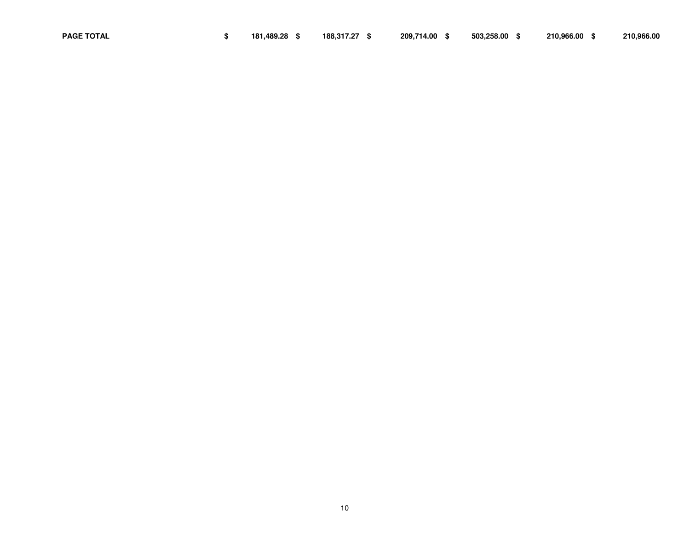10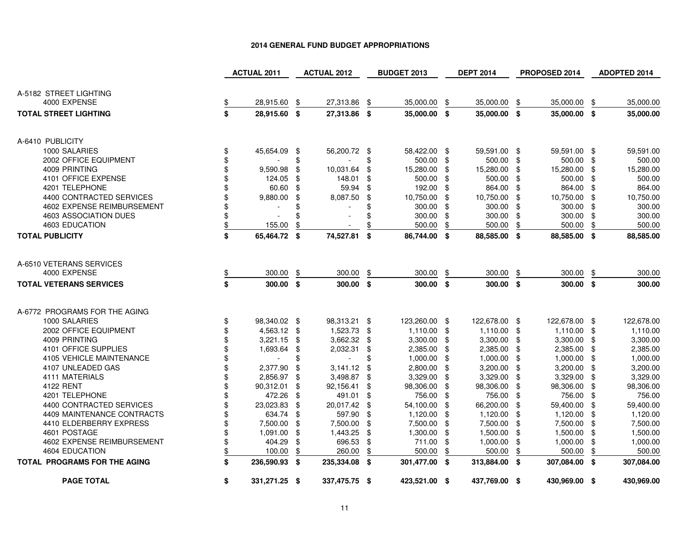|                                     |           | <b>ACTUAL 2011</b> |     | <b>ACTUAL 2012</b>       |     | <b>BUDGET 2013</b> |      | <b>DEPT 2014</b> |      | PROPOSED 2014 |     | ADOPTED 2014 |
|-------------------------------------|-----------|--------------------|-----|--------------------------|-----|--------------------|------|------------------|------|---------------|-----|--------------|
|                                     |           |                    |     |                          |     |                    |      |                  |      |               |     |              |
| A-5182 STREET LIGHTING              |           |                    |     |                          |     |                    |      |                  |      |               |     |              |
| 4000 EXPENSE                        | <u>\$</u> | 28,915.60          | \$  | 27,313.86                | \$  | 35,000.00          | \$   | 35,000.00        | \$   | 35,000.00     | \$  | 35,000.00    |
| <b>TOTAL STREET LIGHTING</b>        | \$        | 28,915.60 \$       |     | 27,313.86 \$             |     | 35,000.00 \$       |      | 35,000.00 \$     |      | 35,000.00 \$  |     | 35,000.00    |
|                                     |           |                    |     |                          |     |                    |      |                  |      |               |     |              |
| A-6410 PUBLICITY                    |           |                    |     |                          |     |                    |      |                  |      |               |     |              |
| 1000 SALARIES                       | \$        | 45,654.09 \$       |     | 56,200.72 \$             |     | 58,422.00 \$       |      | 59,591.00 \$     |      | 59,591.00 \$  |     | 59,591.00    |
| 2002 OFFICE EQUIPMENT               | \$        |                    | \$  |                          | \$  | 500.00 \$          |      | 500.00           | -\$  | 500.00 \$     |     | 500.00       |
| 4009 PRINTING                       | \$        | 9,590.98           | \$  | 10,031.64                | \$  | 15,280.00          | -\$  | 15,280.00        | -\$  | 15,280.00     | \$  | 15,280.00    |
| 4101 OFFICE EXPENSE                 | \$        | 124.05             | \$  | 148.01                   | \$  | 500.00             | -\$  | 500.00           | -\$  | 500.00        | \$  | 500.00       |
| 4201 TELEPHONE                      | \$        | 60.60              | -\$ | 59.94                    | \$  | 192.00 \$          |      | 864.00           | -\$  | 864.00        | \$  | 864.00       |
| 4400 CONTRACTED SERVICES            | \$        | 9,880.00           | \$  | 8,087.50                 | \$  | 10,750.00          | \$   | 10,750.00        | -\$  | 10,750.00     | \$  | 10,750.00    |
| 4602 EXPENSE REIMBURSEMENT          | \$        |                    |     |                          | \$  | 300.00             | - \$ | 300.00           | -\$  | 300.00        | \$  | 300.00       |
| 4603 ASSOCIATION DUES               | \$        |                    |     |                          | \$  | 300.00             | -\$  | 300.00           | \$   | 300.00        | -\$ | 300.00       |
| 4603 EDUCATION                      | \$        | 155.00             |     |                          | \$  | 500.00             | \$   | 500.00           | \$   | 500.00        | \$  | 500.00       |
| <b>TOTAL PUBLICITY</b>              | \$        | 65,464.72 \$       |     | 74,527.81 \$             |     | 86,744.00 \$       |      | 88,585.00 \$     |      | 88,585.00 \$  |     | 88,585.00    |
|                                     |           |                    |     |                          |     |                    |      |                  |      |               |     |              |
| A-6510 VETERANS SERVICES            |           |                    |     |                          |     |                    |      |                  |      |               |     |              |
| 4000 EXPENSE                        | <u>\$</u> | 300.00             | \$  | 300.00                   | \$  | 300.00             | \$   | 300.00           | \$   | 300.00        | \$  | 300.00       |
| <b>TOTAL VETERANS SERVICES</b>      | \$        | 300.00 \$          |     | 300.00 \$                |     | 300.00 \$          |      | 300.00           | \$   | 300.00 \$     |     | 300.00       |
|                                     |           |                    |     |                          |     |                    |      |                  |      |               |     |              |
| A-6772 PROGRAMS FOR THE AGING       |           |                    |     |                          |     |                    |      |                  |      |               |     |              |
| 1000 SALARIES                       | \$        | 98,340.02 \$       |     | 98,313.21 \$             |     | 123,260.00 \$      |      | 122,678.00 \$    |      | 122,678.00 \$ |     | 122,678.00   |
| 2002 OFFICE EQUIPMENT               | \$        | 4,563.12 \$        |     | 1,523.73 \$              |     | $1,110.00$ \$      |      | $1,110.00$ \$    |      | $1,110.00$ \$ |     | 1,110.00     |
| 4009 PRINTING                       | \$        | $3,221.15$ \$      |     | 3,662.32                 | \$  | $3,300.00$ \$      |      | 3,300.00         | -\$  | 3,300.00      | -\$ | 3,300.00     |
| 4101 OFFICE SUPPLIES                | \$        | 1,693.64           | \$  | 2,032.31                 | \$  | 2,385.00 \$        |      | 2,385.00         | -\$  | 2,385.00      | \$  | 2,385.00     |
| <b>4105 VEHICLE MAINTENANCE</b>     | \$        |                    | \$  | $\overline{\phantom{a}}$ | \$  | 1,000.00           | -\$  | 1,000.00         | -\$  | 1,000.00      | \$  | 1,000.00     |
| 4107 UNLEADED GAS                   | \$        | 2,377.90           | \$  | 3,141.12                 | \$  | 2,800.00           | -\$  | 3,200.00         | -\$  | 3,200.00      | \$  | 3,200.00     |
| 4111 MATERIALS                      | \$        | 2,856.97 \$        |     | 3,498.87                 | -\$ | 3,329.00 \$        |      | 3,329.00         | \$   | 3,329.00      | \$  | 3,329.00     |
| 4122 RENT                           | \$        | 90,312.01          | \$  | 92,156.41                | \$  | 98,306.00          | -\$  | 98,306.00        | \$   | 98,306.00     | \$  | 98,306.00    |
| 4201 TELEPHONE                      | \$        | 472.26 \$          |     | 491.01                   | -\$ | 756.00             | -\$  | 756.00           | - \$ | 756.00        | \$  | 756.00       |
| 4400 CONTRACTED SERVICES            | \$        | 23,023.83          | \$  | 20,017.42                | -\$ | 54,100.00          | - \$ | 66,200.00        | \$   | 59,400.00     | \$  | 59,400.00    |
| 4409 MAINTENANCE CONTRACTS          | \$        | 634.74 \$          |     | 597.90                   | \$  | 1,120.00           | -\$  | 1,120.00         | \$   | 1,120.00      | \$  | 1,120.00     |
| 4410 ELDERBERRY EXPRESS             | \$        | 7,500.00 \$        |     | 7,500.00                 | \$  | 7,500.00           | -\$  | 7,500.00         | -\$  | 7,500.00      | \$  | 7,500.00     |
| 4601 POSTAGE                        | \$        | 1,091.00 \$        |     | 1,443.25                 | -\$ | $1,300.00$ \$      |      | 1,500.00         | -\$  | 1,500.00      | \$  | 1,500.00     |
| 4602 EXPENSE REIMBURSEMENT          | \$        | 404.29             | \$  | 696.53                   | \$  | 711.00             | -\$  | 1,000.00         | \$   | 1,000.00      | \$  | 1,000.00     |
| 4604 EDUCATION                      | \$        | 100.00             | \$  | 260.00                   | \$  | 500.00             | \$   | 500.00           | \$   | 500.00        | \$  | 500.00       |
| <b>TOTAL PROGRAMS FOR THE AGING</b> | \$        | 236,590.93 \$      |     | 235,334.08 \$            |     | 301,477.00 \$      |      | 313,884.00 \$    |      | 307,084.00 \$ |     | 307,084.00   |
| <b>PAGE TOTAL</b>                   | \$        | 331,271.25 \$      |     | 337,475.75 \$            |     | 423,521.00 \$      |      | 437,769.00 \$    |      | 430,969.00 \$ |     | 430,969.00   |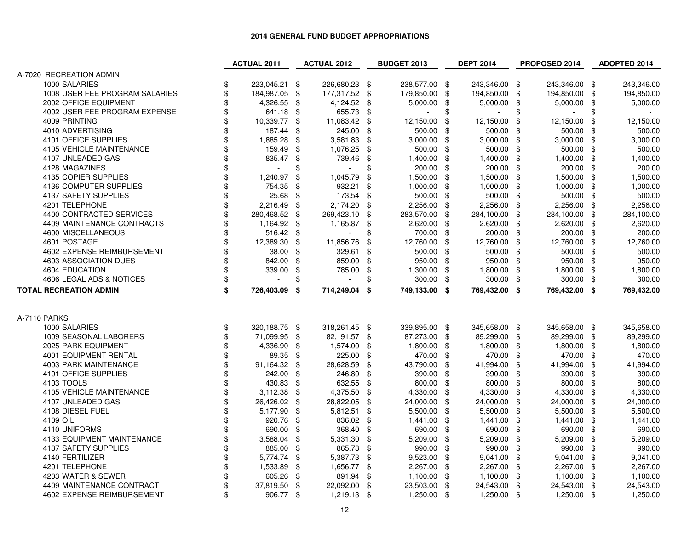|                                | <b>ACTUAL 2011</b>  |      | <b>ACTUAL 2012</b> |      | <b>BUDGET 2013</b> |     | <b>DEPT 2014</b> |      | PROPOSED 2014 |      | ADOPTED 2014 |
|--------------------------------|---------------------|------|--------------------|------|--------------------|-----|------------------|------|---------------|------|--------------|
| A-7020 RECREATION ADMIN        |                     |      |                    |      |                    |     |                  |      |               |      |              |
| 1000 SALARIES                  | 223,045.21 \$<br>\$ |      | 226,680.23 \$      |      | 238,577.00 \$      |     | 243,346.00 \$    |      | 243,346.00 \$ |      | 243,346.00   |
| 1008 USER FEE PROGRAM SALARIES | \$<br>184,987.05 \$ |      | 177,317.52         | \$   | 179,850.00         | \$  | 194,850.00       | \$   | 194,850.00    | \$   | 194,850.00   |
| 2002 OFFICE EQUIPMENT          | \$<br>4,326.55 \$   |      | 4,124.52           | -\$  | 5,000.00           | \$  | $5,000.00$ \$    |      | 5,000.00      | -\$  | 5,000.00     |
| 4002 USER FEE PROGRAM EXPENSE  | \$<br>641.18 \$     |      | 655.73             | \$   |                    | \$  | $\blacksquare$   | \$   |               | \$   |              |
| 4009 PRINTING                  | \$<br>10,339.77 \$  |      | 11,083.42          | \$   | 12,150.00          | \$  | 12,150.00        | \$   | 12,150.00     | \$   | 12,150.00    |
| 4010 ADVERTISING               | \$<br>187.44        | \$   | 245.00             | -\$  | 500.00             | -\$ | 500.00 \$        |      | 500.00        | - \$ | 500.00       |
| 4101 OFFICE SUPPLIES           | \$<br>1,885.28      | -\$  | 3,581.83           | -\$  | 3,000.00           | \$  | 3,000.00         | \$   | 3,000.00      | \$   | 3,000.00     |
| 4105 VEHICLE MAINTENANCE       | 159.49              | \$   | 1,076.25           | \$   | 500.00             | \$  | 500.00           | \$   | 500.00        | \$   | 500.00       |
| 4107 UNLEADED GAS              | \$<br>835.47        | \$   | 739.46             | \$   | 1,400.00           | \$  | 1,400.00         | \$   | 1,400.00      | \$   | 1,400.00     |
| 4128 MAGAZINES                 | \$                  | \$   |                    | \$   | 200.00             | \$  | 200.00           | -\$  | 200.00        | - \$ | 200.00       |
| 4135 COPIER SUPPLIES           | \$<br>1,240.97      | \$   | 1,045.79           | \$   | 1,500.00           | \$  | 1,500.00 \$      |      | 1,500.00      | \$   | 1,500.00     |
| 4136 COMPUTER SUPPLIES         | \$<br>754.35        | \$   | 932.21             | \$   | 1,000.00           | \$  | $1,000.00$ \$    |      | 1,000.00      | \$   | 1,000.00     |
| 4137 SAFETY SUPPLIES           | \$<br>25.68 \$      |      | 173.54             | -\$  | 500.00             | -\$ | 500.00 \$        |      | 500.00        | - \$ | 500.00       |
| 4201 TELEPHONE                 | \$<br>2,216.49 \$   |      | 2,174.20           | -\$  | 2,256.00           | \$  | 2,256.00         | - \$ | 2,256.00      | \$   | 2,256.00     |
| 4400 CONTRACTED SERVICES       | \$<br>280,468.52 \$ |      | 269,423.10         | \$   | 283,570.00         | \$  | 284,100.00 \$    |      | 284,100.00 \$ |      | 284,100.00   |
| 4409 MAINTENANCE CONTRACTS     | \$<br>1,164.92 \$   |      | 1,165.87           | \$   | 2,620.00           | \$  | 2,620.00         | - \$ | 2,620.00      | \$   | 2,620.00     |
| 4600 MISCELLANEOUS             | \$<br>516.42 \$     |      |                    | \$   | 700.00             | \$  | 200.00 \$        |      | 200.00        | -\$  | 200.00       |
| 4601 POSTAGE                   | \$<br>12,389.30     | \$   | 11,856.76          | \$   | 12,760.00          | -\$ | 12,760.00 \$     |      | 12,760.00     | -\$  | 12,760.00    |
| 4602 EXPENSE REIMBURSEMENT     | \$<br>38.00 \$      |      | 329.61             | \$   | 500.00             | \$  | 500.00 \$        |      | 500.00        | -\$  | 500.00       |
| 4603 ASSOCIATION DUES          | \$<br>842.00        | \$   | 859.00             | - \$ | 950.00             | \$  | 950.00 \$        |      | 950.00 \$     |      | 950.00       |
| 4604 EDUCATION                 | \$<br>339.00        | \$   | 785.00             | \$   | 1,300.00           | \$  | 1,800.00         | \$   | 1,800.00      | \$   | 1,800.00     |
| 4606 LEGAL ADS & NOTICES       | \$<br>$\sim$        |      |                    | \$   | 300.00             | \$  | 300.00           | \$   | 300.00        | \$   | 300.00       |
| <b>TOTAL RECREATION ADMIN</b>  | \$<br>726,403.09    | \$   | 714,249.04         | \$   | 749,133.00 \$      |     | 769,432.00 \$    |      | 769,432.00 \$ |      | 769,432.00   |
|                                |                     |      |                    |      |                    |     |                  |      |               |      |              |
|                                |                     |      |                    |      |                    |     |                  |      |               |      |              |
| A-7110 PARKS                   |                     |      |                    |      |                    |     |                  |      |               |      |              |
| 1000 SALARIES                  | \$<br>320,188.75 \$ |      | 318,261.45 \$      |      | 339,895.00 \$      |     | 345,658.00 \$    |      | 345,658.00 \$ |      | 345,658.00   |
| 1009 SEASONAL LABORERS         | \$<br>71,099.95 \$  |      | 82,191.57 \$       |      | 87,273.00 \$       |     | 89,299.00 \$     |      | 89,299.00     | - \$ | 89,299.00    |
| 2025 PARK EQUIPMENT            | \$<br>4,336.90 \$   |      | 1,574.00           | -\$  | 1,800.00           | \$  | 1,800.00 \$      |      | 1,800.00      | - \$ | 1,800.00     |
| 4001 EQUIPMENT RENTAL          | \$<br>89.35 \$      |      | 225.00 \$          |      | 470.00             | \$  | 470.00 \$        |      | 470.00 \$     |      | 470.00       |
| <b>4003 PARK MAINTENANCE</b>   | \$<br>91,164.32     | \$   | 28,628.59          | \$   | 43,790.00          | \$  | 41,994.00        | \$   | 41,994.00     | \$   | 41,994.00    |
| 4101 OFFICE SUPPLIES           | \$<br>242.00        | \$   | 246.80             | -\$  | 390.00             | \$  | 390.00           | \$   | 390.00        | - \$ | 390.00       |
| 4103 TOOLS                     | \$<br>430.83 \$     |      | 632.55             | -\$  | 800.00             | -\$ | 800.00 \$        |      | 800.00        | -\$  | 800.00       |
| 4105 VEHICLE MAINTENANCE       | \$<br>$3,112.38$ \$ |      | 4,375.50           | \$   | 4,330.00           | \$  | 4,330.00 \$      |      | 4,330.00      | \$   | 4,330.00     |
| 4107 UNLEADED GAS              | \$<br>26,426.02 \$  |      | 28,822.05          | \$   | 24,000.00          | \$  | 24,000.00 \$     |      | 24,000.00     | \$   | 24,000.00    |
| 4108 DIESEL FUEL               | \$<br>5,177.90 \$   |      | 5,812.51           | \$   | 5,500.00           | \$  | 5,500.00 \$      |      | 5,500.00      | \$   | 5,500.00     |
| 4109 OIL                       | \$<br>920.76        | - \$ | 836.02             | - \$ | 1,441.00           | \$  | 1,441.00         | - \$ | 1,441.00 \$   |      | 1,441.00     |
| 4110 UNIFORMS                  | 690.00              | \$   | 368.40             | \$   | 690.00             | \$  | 690.00           | \$   | 690.00        | \$   | 690.00       |
| 4133 EQUIPMENT MAINTENANCE     | \$<br>3,588.04      | \$   | 5,331.30           | \$   | 5,209.00           | \$  | 5,209.00         | \$   | 5,209.00      | \$   | 5,209.00     |
| 4137 SAFETY SUPPLIES           | \$<br>885.00        | \$   | 865.78             | \$   | 990.00             | \$  | 990.00 \$        |      | 990.00        | -\$  | 990.00       |
| 4140 FERTILIZER                | \$<br>5,774.74      | \$   | 5,387.73           | \$   | 9,523.00           | \$  | $9,041.00$ \$    |      | 9,041.00      | \$   | 9,041.00     |
| 4201 TELEPHONE                 | \$<br>1,533.89      | \$   | 1,656.77           | - \$ | 2,267.00           | -\$ | 2,267.00 \$      |      | 2,267.00      | -\$  | 2,267.00     |
| 4203 WATER & SEWER             | \$<br>605.26 \$     |      | 891.94             | \$   | 1,100.00           | \$  | 1,100.00 \$      |      | 1,100.00      | - \$ | 1,100.00     |
| 4409 MAINTENANCE CONTRACT      | \$<br>37,819.50     | \$   | 22,092.00          | - \$ | 23,503.00 \$       |     | 24,543.00 \$     |      | 24,543.00 \$  |      | 24,543.00    |
| 4602 EXPENSE REIMBURSEMENT     | \$<br>906.77 \$     |      | $1,219.13$ \$      |      | $1,250.00$ \$      |     | $1,250.00$ \$    |      | $1,250.00$ \$ |      | 1,250.00     |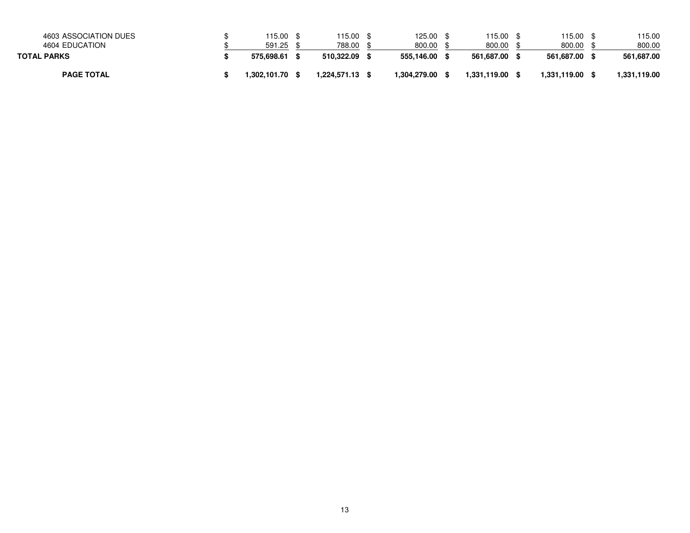| 4603 ASSOCIATION DUES<br>4604 EDUCATION | 115.00<br>591.25 | '15.00<br>788.00 | 125.00<br>800.00 | 15.00<br>800.00 | 115.00<br>800.00 | 115.00<br>800.00 |
|-----------------------------------------|------------------|------------------|------------------|-----------------|------------------|------------------|
| <b>TOTAL PARKS</b>                      | 575.698.61       | 510.322.09       | 555.146.00       | 561.687.00      | 561.687.00       | 561,687.00       |
| <b>PAGE TOTAL</b>                       | 1.302.101.70     | 1.224.571.13     | 1.304.279.00     | 1.331.119.00    | 1,331,119.00     | 1,331,119.00     |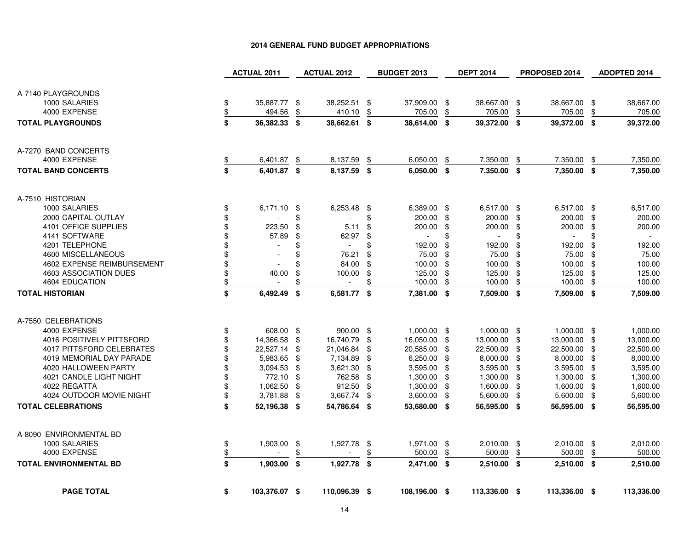|                               |               | <b>ACTUAL 2011</b> |     | <b>ACTUAL 2012</b> |     | <b>BUDGET 2013</b> |      | <b>DEPT 2014</b> |      | PROPOSED 2014 |     | <b>ADOPTED 2014</b> |
|-------------------------------|---------------|--------------------|-----|--------------------|-----|--------------------|------|------------------|------|---------------|-----|---------------------|
|                               |               |                    |     |                    |     |                    |      |                  |      |               |     |                     |
| A-7140 PLAYGROUNDS            |               |                    |     |                    |     |                    |      |                  |      |               |     |                     |
| 1000 SALARIES                 | \$            | 35,887.77 \$       |     | 38,252.51 \$       |     | 37,909.00 \$       |      | 38,667.00        | \$   | 38,667.00 \$  |     | 38,667.00           |
| 4000 EXPENSE                  | \$            | 494.56             | \$  | 410.10             | \$  | 705.00             | \$   | 705.00           | \$   | 705.00        | \$  | 705.00              |
| <b>TOTAL PLAYGROUNDS</b>      | \$            | 36,382.33 \$       |     | 38,662.61 \$       |     | 38,614.00 \$       |      | 39,372.00        | \$   | 39,372.00 \$  |     | 39,372.00           |
|                               |               |                    |     |                    |     |                    |      |                  |      |               |     |                     |
|                               |               |                    |     |                    |     |                    |      |                  |      |               |     |                     |
| A-7270 BAND CONCERTS          |               |                    |     |                    |     |                    |      |                  |      |               |     |                     |
| 4000 EXPENSE                  |               | 6,401.87           | \$  | 8,137.59           | \$  | 6,050.00           | \$   | 7,350.00         | \$   | 7,350.00      | \$  | 7,350.00            |
| <b>TOTAL BAND CONCERTS</b>    | \$            | 6,401.87 \$        |     | 8,137.59 \$        |     | $6,050.00$ \$      |      | 7,350.00         | \$   | 7,350.00 \$   |     | 7,350.00            |
|                               |               |                    |     |                    |     |                    |      |                  |      |               |     |                     |
| A-7510 HISTORIAN              |               |                    |     |                    |     |                    |      |                  |      |               |     |                     |
| 1000 SALARIES                 | \$            | $6,171.10$ \$      |     | 6,253.48 \$        |     | 6,389.00 \$        |      | 6,517.00         | - \$ | 6,517.00 \$   |     | 6,517.00            |
| 2000 CAPITAL OUTLAY           | \$            |                    | \$  |                    | \$  | 200.00             | \$   | 200.00           | \$   | 200.00 \$     |     | 200.00              |
| 4101 OFFICE SUPPLIES          | \$            | 223.50             | \$  | 5.11               | \$  | 200.00             | \$   | 200.00           | \$   | 200.00 \$     |     | 200.00              |
| 4141 SOFTWARE                 | \$            | 57.89              | \$  | 62.97              | -\$ |                    | \$   | $\sim$           | \$   | $\sim$        | \$  | $\sim$              |
| 4201 TELEPHONE                | \$            |                    | \$  |                    | \$  | 192.00             | \$   | 192.00           | \$   | 192.00        | \$  | 192.00              |
| 4600 MISCELLANEOUS            | \$            |                    | \$  | 76.21              | \$  | 75.00              | -\$  | 75.00            | \$   | 75.00 \$      |     | 75.00               |
| 4602 EXPENSE REIMBURSEMENT    | \$            |                    |     | 84.00              | \$  | 100.00             | \$   | 100.00           | \$   | 100.00        | \$  | 100.00              |
| 4603 ASSOCIATION DUES         | \$            | 40.00              | \$  | 100.00             | \$  | 125.00             | \$   | 125.00           | \$   | 125.00        | \$  | 125.00              |
| 4604 EDUCATION                | $\frac{1}{2}$ | $\sim$             |     | $\sim$             | \$  | 100.00             | \$   | 100.00           | \$   | 100.00        | \$  | 100.00              |
| <b>TOTAL HISTORIAN</b>        | \$            | 6,492.49           | -\$ | 6,581.77 \$        |     | 7,381.00 \$        |      | 7,509.00         | \$   | 7,509.00 \$   |     | 7,509.00            |
|                               |               |                    |     |                    |     |                    |      |                  |      |               |     |                     |
| A-7550 CELEBRATIONS           |               |                    |     |                    |     |                    |      |                  |      |               |     |                     |
| 4000 EXPENSE                  | \$            | 608.00 \$          |     | 900.00 \$          |     | $1,000.00$ \$      |      | $1,000.00$ \$    |      | 1,000.00 \$   |     | 1,000.00            |
| 4016 POSITIVELY PITTSFORD     | \$            | 14,366.58          | \$  | 16,740.79          | \$  | 16,050.00 \$       |      | 13,000.00        | \$   | 13,000.00 \$  |     | 13,000.00           |
| 4017 PITTSFORD CELEBRATES     | \$            | 22,527.14 \$       |     | 21,046.84          | \$  | 20,585.00          | -\$  | 22,500.00        | \$   | 22,500.00 \$  |     | 22,500.00           |
| 4019 MEMORIAL DAY PARADE      | \$            | 5,983.65 \$        |     | 7,134.89           | \$  | 6,250.00           | -\$  | 8,000.00         | -\$  | 8,000.00      | -\$ | 8,000.00            |
| 4020 HALLOWEEN PARTY          | \$            | $3,094.53$ \$      |     | 3,621.30           | \$  | 3,595.00           | - \$ | 3,595.00         | -\$  | 3,595.00      | \$  | 3,595.00            |
| 4021 CANDLE LIGHT NIGHT       | \$            | 772.10             | \$  | 762.58             | \$  | 1,300.00           | \$   | 1,300.00         | \$   | 1,300.00      | \$  | 1,300.00            |
| 4022 REGATTA                  | \$            | 1,062.50           | -\$ | 912.50             | \$  | 1,300.00           | -\$  | 1,600.00         | -\$  | 1,600.00 \$   |     | 1,600.00            |
| 4024 OUTDOOR MOVIE NIGHT      | \$            | 3,781.88           | \$  | 3,667.74           | \$  | 3,600.00           | \$   | 5,600.00         | \$   | 5,600.00      | \$  | 5,600.00            |
| <b>TOTAL CELEBRATIONS</b>     | \$            | 52,196.38 \$       |     | 54,786.64 \$       |     | 53,680.00 \$       |      | 56,595.00 \$     |      | 56,595.00 \$  |     | 56,595.00           |
|                               |               |                    |     |                    |     |                    |      |                  |      |               |     |                     |
| A-8090 ENVIRONMENTAL BD       |               |                    |     |                    |     |                    |      |                  |      |               |     |                     |
| 1000 SALARIES                 | \$            | 1,903.00           | -\$ | 1,927.78           | \$  | 1,971.00 \$        |      | 2,010.00 \$      |      | 2,010.00 \$   |     | 2,010.00            |
| 4000 EXPENSE                  | $\frac{1}{2}$ |                    | \$  |                    | \$  | 500.00             | \$   | 500.00           | \$   | 500.00        | \$  | 500.00              |
| <b>TOTAL ENVIRONMENTAL BD</b> | \$            | $1,903.00$ \$      |     | 1,927.78 \$        |     | 2,471.00 \$        |      | 2,510.00 \$      |      | $2,510.00$ \$ |     | 2,510.00            |
|                               |               |                    |     |                    |     |                    |      |                  |      |               |     |                     |
| <b>PAGE TOTAL</b>             | \$            | 103,376.07 \$      |     | 110,096.39 \$      |     | 108,196.00 \$      |      | 113,336.00 \$    |      | 113,336.00 \$ |     | 113,336.00          |
|                               |               |                    |     |                    |     |                    |      |                  |      |               |     |                     |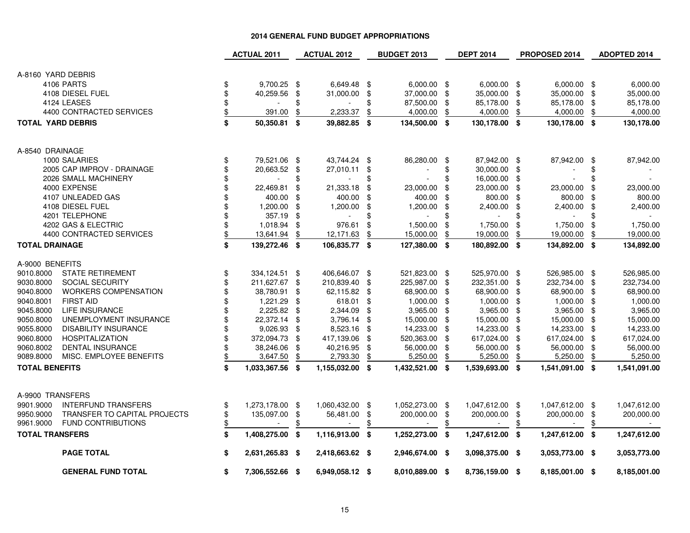|                          |                              | <b>ACTUAL 2011</b>             |            | <b>ACTUAL 2012</b> |      | <b>BUDGET 2013</b> |      | <b>DEPT 2014</b> |     | PROPOSED 2014   |     | ADOPTED 2014 |
|--------------------------|------------------------------|--------------------------------|------------|--------------------|------|--------------------|------|------------------|-----|-----------------|-----|--------------|
|                          |                              |                                |            |                    |      |                    |      |                  |     |                 |     |              |
| A-8160 YARD DEBRIS       |                              |                                |            |                    |      |                    |      |                  |     |                 |     |              |
|                          | 4106 PARTS                   | \$<br>9,700.25 \$              |            | 6,649.48 \$        |      | $6,000.00$ \$      |      | $6,000.00$ \$    |     | $6,000.00$ \$   |     | 6,000.00     |
|                          | 4108 DIESEL FUEL             | \$<br>40,259.56                | $\sqrt{3}$ | 31,000.00 \$       |      | 37,000.00 \$       |      | 35,000.00        | \$  | 35,000.00 \$    |     | 35,000.00    |
|                          | 4124 LEASES                  | \$                             |            |                    | \$   | 87,500.00 \$       |      | 85,178.00        | \$  | 85,178.00 \$    |     | 85,178.00    |
|                          | 4400 CONTRACTED SERVICES     | \$<br>391.00                   | \$         | 2,233.37           | \$   | 4,000.00           | \$   | 4,000.00         | \$  | 4,000.00        | \$  | 4,000.00     |
| <b>TOTAL YARD DEBRIS</b> |                              | \$<br>50,350.81                | \$         | 39,882.85          | - \$ | 134,500.00 \$      |      | 130,178.00 \$    |     | 130,178.00 \$   |     | 130,178.00   |
| A-8540 DRAINAGE          |                              |                                |            |                    |      |                    |      |                  |     |                 |     |              |
|                          | 1000 SALARIES                | \$<br>79,521.06 \$             |            | 43,744.24 \$       |      | 86,280.00 \$       |      | 87,942.00 \$     |     | 87,942.00 \$    |     | 87,942.00    |
|                          | 2005 CAP IMPROV - DRAINAGE   | \$<br>20,663.52 \$             |            | 27,010.11 \$       |      |                    | \$   | 30,000.00        | -\$ |                 | \$  |              |
|                          | 2026 SMALL MACHINERY         | \$<br>$\overline{\phantom{a}}$ | \$         | $\sim$             | \$   |                    | \$   | 16,000.00        | \$  |                 | \$  |              |
|                          | 4000 EXPENSE                 | \$<br>22,469.81                | \$         | 21,333.18          | \$   | 23,000.00          | \$   | 23,000.00        | -\$ | 23,000.00       | \$  | 23,000.00    |
|                          | 4107 UNLEADED GAS            | 400.00                         | \$         | 400.00             | \$   | 400.00             | \$   | 800.00           | \$  | 800.00          | \$  | 800.00       |
|                          | 4108 DIESEL FUEL             | \$<br>1,200.00                 | \$         | 1,200.00           | -\$  | 1,200.00           | - \$ | 2,400.00         | \$  | 2,400.00        | -\$ | 2,400.00     |
|                          | 4201 TELEPHONE               | \$<br>357.19 \$                |            |                    | \$   |                    | \$   |                  |     | $\blacksquare$  |     |              |
|                          | 4202 GAS & ELECTRIC          | \$<br>1,018.94 \$              |            | 976.61             | \$   | 1,500.00           | \$   | 1,750.00         | \$  | 1,750.00        | \$  | 1,750.00     |
|                          | 4400 CONTRACTED SERVICES     | \$<br>13,641.94                | \$         | 12,171.63          | \$   | 15,000.00          | \$   | 19,000.00        | \$  | 19,000.00       | \$  | 19,000.00    |
| <b>TOTAL DRAINAGE</b>    |                              | \$<br>139,272.46 \$            |            | 106,835.77 \$      |      | 127,380.00 \$      |      | 180,892.00 \$    |     | 134,892.00 \$   |     | 134,892.00   |
| A-9000 BENEFITS          |                              |                                |            |                    |      |                    |      |                  |     |                 |     |              |
| 9010.8000                | <b>STATE RETIREMENT</b>      | \$<br>334,124.51 \$            |            | 406,646.07 \$      |      | 521,823.00 \$      |      | 525,970.00 \$    |     | 526,985.00 \$   |     | 526,985.00   |
| 9030.8000                | <b>SOCIAL SECURITY</b>       | \$<br>211,627.67 \$            |            | 210,839.40         | \$   | 225,987.00 \$      |      | 232,351.00       | \$  | 232,734.00 \$   |     | 232,734.00   |
| 9040.8000                | WORKERS COMPENSATION         | \$<br>38,780.91                | \$         | 62,115.82          | - \$ | 68,900.00 \$       |      | 68,900.00        | -\$ | 68,900.00 \$    |     | 68,900.00    |
| 9040.8001                | <b>FIRST AID</b>             | 1,221.29                       | \$         | 618.01             | -\$  | $1,000.00$ \$      |      | 1,000.00         | -\$ | 1,000.00 \$     |     | 1,000.00     |
| 9045.8000                | LIFE INSURANCE               | \$<br>2,225.82 \$              |            | 2,344.09           | \$   | 3,965.00           | - \$ | 3,965.00         | \$  | 3,965.00 \$     |     | 3,965.00     |
| 9050.8000                | UNEMPLOYMENT INSURANCE       | \$<br>22,372.14                | \$         | 3,796.14           | \$   | 15,000.00 \$       |      | 15,000.00        | -\$ | 15,000.00 \$    |     | 15,000.00    |
| 9055.8000                | <b>DISABILITY INSURANCE</b>  | \$<br>9,026.93                 | \$         | 8,523.16           | \$   | 14,233.00          | \$   | 14,233.00        | \$  | 14,233.00       | \$  | 14,233.00    |
| 9060.8000                | <b>HOSPITALIZATION</b>       | \$<br>372,094.73               | \$         | 417,139.06         | \$   | 520,363.00         | \$   | 617,024.00       | -\$ | 617,024.00      | -\$ | 617,024.00   |
| 9060.8002                | <b>DENTAL INSURANCE</b>      | \$<br>38,246.06                | \$         | 40,216.95          | -\$  | 56,000.00          | -\$  | 56,000.00        | \$  | 56,000.00       | \$  | 56,000.00    |
| 9089.8000                | MISC. EMPLOYEE BENEFITS      | \$<br>3,647.50                 | \$         | 2,793.30           | \$   | 5,250.00           | \$   | 5,250.00         | \$  | 5,250.00        | \$  | 5,250.00     |
| <b>TOTAL BENEFITS</b>    |                              | \$<br>1,033,367.56 \$          |            | 1,155,032.00 \$    |      | 1,432,521.00 \$    |      | 1,539,693.00 \$  |     | 1,541,091.00 \$ |     | 1,541,091.00 |
| A-9900 TRANSFERS         |                              |                                |            |                    |      |                    |      |                  |     |                 |     |              |
| 9901.9000                | <b>INTERFUND TRANSFERS</b>   | \$<br>1,273,178.00 \$          |            | 1,060,432.00 \$    |      | 1,052,273.00 \$    |      | 1,047,612.00 \$  |     | 1,047,612.00 \$ |     | 1,047,612.00 |
| 9950.9000                | TRANSFER TO CAPITAL PROJECTS | \$<br>135,097.00 \$            |            | 56,481.00          | -\$  | 200,000.00 \$      |      | 200,000.00       | \$  | 200,000.00 \$   |     | 200,000.00   |
| 9961.9000                | <b>FUND CONTRIBUTIONS</b>    | \$                             |            |                    | \$   |                    | \$   |                  | \$  |                 |     |              |
| <b>TOTAL TRANSFERS</b>   |                              | \$<br>1,408,275.00 \$          |            | 1,116,913.00 \$    |      | 1,252,273.00 \$    |      | 1,247,612.00     | \$  | 1,247,612.00 \$ |     | 1,247,612.00 |
|                          | <b>PAGE TOTAL</b>            | \$<br>2,631,265.83 \$          |            | 2,418,663.62 \$    |      | 2,946,674.00 \$    |      | 3,098,375.00 \$  |     | 3,053,773.00 \$ |     | 3,053,773.00 |
|                          | <b>GENERAL FUND TOTAL</b>    | \$<br>7,306,552.66 \$          |            | 6,949,058.12 \$    |      | 8,010,889.00 \$    |      | 8,736,159.00 \$  |     | 8,185,001.00 \$ |     | 8,185,001.00 |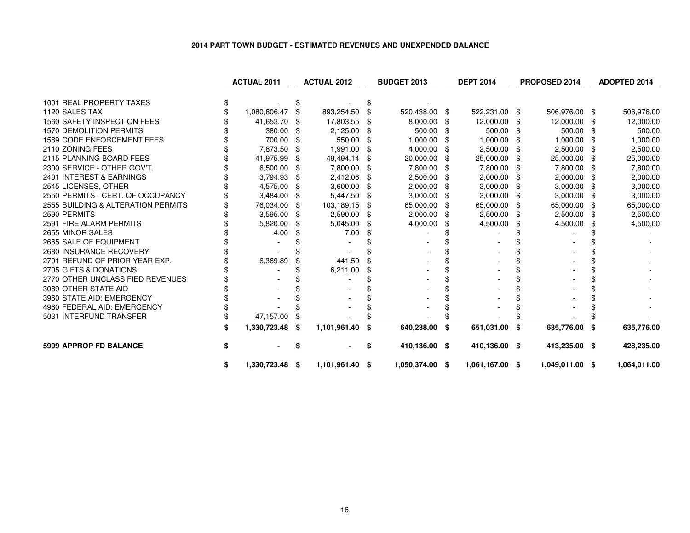### **2014 PART TOWN BUDGET - ESTIMATED REVENUES AND UNEXPENDED BALANCE**

|                                    | <b>ACTUAL 2011</b>    |      | <b>ACTUAL 2012</b> |      | <b>BUDGET 2013</b> |      | <b>DEPT 2014</b> |      | PROPOSED 2014   |      | ADOPTED 2014 |
|------------------------------------|-----------------------|------|--------------------|------|--------------------|------|------------------|------|-----------------|------|--------------|
|                                    |                       |      |                    |      |                    |      |                  |      |                 |      |              |
| 1001 REAL PROPERTY TAXES           |                       |      |                    |      |                    |      |                  |      |                 |      |              |
| 1120 SALES TAX                     | 1,080,806.47          |      | 893,254.50         | \$   | 520,438.00         | - \$ | 522,231.00 \$    |      | 506,976.00      | - \$ | 506,976.00   |
| 1560 SAFETY INSPECTION FEES        | 41,653.70             |      | 17,803.55          | -8   | 8,000.00           |      | 12,000.00        | -\$  | 12,000.00       | - \$ | 12,000.00    |
| <b>1570 DEMOLITION PERMITS</b>     | 380.00                |      | 2,125.00           |      | 500.00             |      | 500.00           |      | 500.00          |      | 500.00       |
| <b>1589 CODE ENFORCEMENT FEES</b>  | 700.00                | \$   | 550.00             | \$   | 1,000.00           | \$   | 1,000.00         | - \$ | 1,000.00        | \$   | 1,000.00     |
| 2110 ZONING FEES                   | 7,873.50              |      | 1,991.00           |      | 4,000.00           |      | 2,500.00         |      | 2,500.00        | -SS  | 2,500.00     |
| 2115 PLANNING BOARD FEES           | 41,975.99             | - \$ | 49,494.14          | -SS  | 20,000.00          |      | 25,000.00        | - \$ | 25,000.00       | - \$ | 25,000.00    |
| 2300 SERVICE - OTHER GOV'T.        | 6,500.00              |      | 7,800.00           |      | 7,800.00           |      | 7,800.00         |      | 7,800.00        | -SS  | 7,800.00     |
| 2401 INTEREST & EARNINGS           | 3,794.93              |      | 2,412.06           |      | 2,500.00           |      | 2,000.00         |      | 2,000.00        | - \$ | 2,000.00     |
| 2545 LICENSES, OTHER               | 4,575.00              | - \$ | 3,600.00           |      | 2,000.00           |      | 3,000.00         | - \$ | 3,000.00        | \$   | 3,000.00     |
| 2550 PERMITS - CERT. OF OCCUPANCY  | 3,484.00              |      | 5,447.50           | -SS  | 3,000.00           |      | 3,000.00         | - \$ | 3,000.00        | \$   | 3,000.00     |
| 2555 BUILDING & ALTERATION PERMITS | 76,034.00             |      | 103,189.15         | \$   | 65,000.00          |      | 65,000.00        | -\$  | 65,000.00       | - \$ | 65,000.00    |
| 2590 PERMITS                       | 3,595.00              | \$   | 2,590.00           | - \$ | 2,000.00           |      | 2,500.00         | - \$ | 2,500.00        | \$   | 2,500.00     |
| 2591 FIRE ALARM PERMITS            | 5,820.00              |      | 5,045.00           | \$   | 4,000.00           |      | 4,500.00         | \$   | 4,500.00        |      | 4,500.00     |
| 2655 MINOR SALES                   | 4.00                  |      | 7.00               |      |                    |      |                  |      |                 |      |              |
| 2665 SALE OF EQUIPMENT             |                       |      |                    |      |                    |      |                  |      |                 |      |              |
| 2680 INSURANCE RECOVERY            |                       |      |                    |      |                    |      |                  |      |                 |      |              |
| 2701 REFUND OF PRIOR YEAR EXP.     | 6,369.89              |      | 441.50             |      |                    |      |                  |      |                 |      |              |
| 2705 GIFTS & DONATIONS             |                       |      | 6,211.00           |      |                    |      |                  |      |                 |      |              |
| 2770 OTHER UNCLASSIFIED REVENUES   |                       |      |                    |      |                    |      |                  |      |                 |      |              |
| 3089 OTHER STATE AID               |                       |      |                    |      |                    |      |                  |      |                 |      |              |
| 3960 STATE AID: EMERGENCY          |                       |      |                    |      |                    |      |                  |      |                 |      |              |
| 4960 FEDERAL AID: EMERGENCY        |                       |      |                    |      |                    |      |                  |      |                 |      |              |
| 5031 INTERFUND TRANSFER            | 47,157.00             |      |                    |      |                    |      |                  |      |                 |      |              |
|                                    | 1,330,723.48          | - \$ | 1,101,961.40       | \$   | 640,238.00 \$      |      | 651,031.00 \$    |      | 635,776.00      | S.   | 635,776.00   |
| <b>5999 APPROP FD BALANCE</b>      |                       |      |                    | \$   | 410,136.00 \$      |      | 410,136.00 \$    |      | 413,235.00 \$   |      | 428,235.00   |
|                                    | \$<br>1,330,723.48 \$ |      | 1,101,961.40 \$    |      | 1,050,374.00 \$    |      | 1,061,167.00 \$  |      | 1,049,011.00 \$ |      | 1,064,011.00 |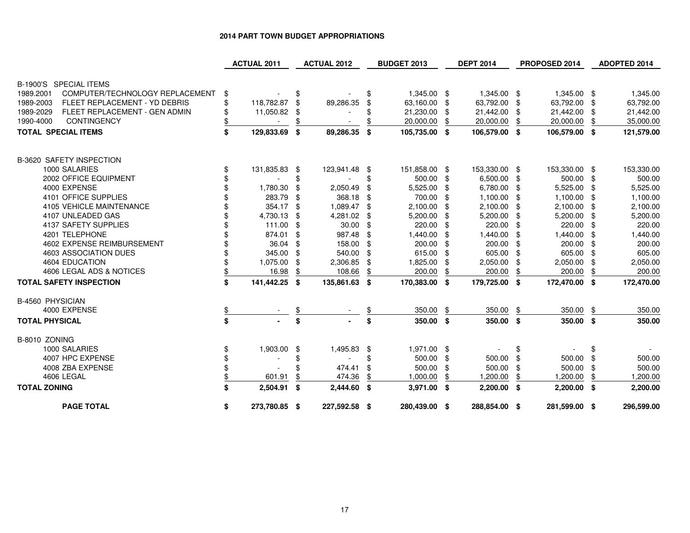# **2014 PART TOWN BUDGET APPROPRIATIONS**

|                                                         |          | <b>ACTUAL 2011</b>       |          | <b>ACTUAL 2012</b> |          | <b>BUDGET 2013</b>        |     | <b>DEPT 2014</b>       |          | PROPOSED 2014          |     | <b>ADOPTED 2014</b>    |
|---------------------------------------------------------|----------|--------------------------|----------|--------------------|----------|---------------------------|-----|------------------------|----------|------------------------|-----|------------------------|
| B-1900'S SPECIAL ITEMS                                  |          |                          |          |                    |          |                           |     |                        |          |                        |     |                        |
| COMPUTER/TECHNOLOGY REPLACEMENT                         |          |                          |          |                    |          |                           |     |                        |          |                        |     |                        |
| 1989.2001<br>1989-2003<br>FLEET REPLACEMENT - YD DEBRIS | \$<br>\$ |                          | \$<br>\$ |                    | \$<br>\$ | 1,345.00 \$               |     | 1,345.00 \$            |          | 1,345.00 \$            | -\$ | 1,345.00               |
| FLEET REPLACEMENT - GEN ADMIN<br>1989-2029              |          | 118,782.87<br>11,050.82  | \$       | 89,286.35          |          | 63,160.00 \$<br>21,230.00 | \$  | 63,792.00<br>21,442.00 | \$<br>\$ | 63,792.00<br>21,442.00 | \$  | 63,792.00<br>21,442.00 |
| CONTINGENCY<br>1990-4000                                |          |                          |          |                    |          | 20,000.00                 |     | 20,000.00              | \$       | 20,000.00              |     | 35,000.00              |
|                                                         |          |                          |          |                    |          |                           |     |                        |          |                        |     |                        |
| <b>TOTAL SPECIAL ITEMS</b>                              | \$       | 129,833.69               | -\$      | 89,286.35          | \$       | 105,735.00 \$             |     | 106,579.00 \$          |          | 106,579.00 \$          |     | 121,579.00             |
| B-3620 SAFETY INSPECTION                                |          |                          |          |                    |          |                           |     |                        |          |                        |     |                        |
| 1000 SALARIES                                           | \$       | 131,835.83               | -\$      | 123,941.48 \$      |          | 151,858.00 \$             |     | 153,330.00 \$          |          | 153,330.00 \$          |     | 153,330.00             |
| 2002 OFFICE EQUIPMENT                                   |          |                          | \$       |                    |          | 500.00 \$                 |     | 6,500.00               | \$       | 500.00 \$              |     | 500.00                 |
| 4000 EXPENSE                                            |          | 1,780.30                 | -\$      | 2,050.49           | \$       | 5,525.00                  | \$  | 6,780.00               | \$       | 5,525.00               | \$  | 5,525.00               |
| 4101 OFFICE SUPPLIES                                    |          | 283.79                   | -\$      | 368.18             | -\$      | 700.00                    | \$  | 1,100.00               | \$       | 1,100.00               | -\$ | 1,100.00               |
| 4105 VEHICLE MAINTENANCE                                |          | 354.17 \$                |          | 1,089.47 \$        |          | 2,100.00                  | \$  | 2,100.00               | \$       | 2,100.00               | -\$ | 2,100.00               |
| 4107 UNLEADED GAS                                       |          | 4,730.13                 | -\$      | 4,281.02           | \$       | 5,200.00                  | \$  | 5,200.00               | \$.      | 5,200.00               | \$  | 5,200.00               |
| 4137 SAFETY SUPPLIES                                    |          | 111.00                   | -\$      | 30.00              | -\$      | 220.00                    | \$  | 220.00                 | \$       | 220.00                 | \$  | 220.00                 |
| 4201 TELEPHONE                                          |          | 874.01                   | \$       | 987.48             |          | 1,440.00                  | \$  | 1,440.00               | \$       | 1,440.00               |     | 1,440.00               |
| 4602 EXPENSE REIMBURSEMENT                              |          | 36.04                    | - \$     | 158.00             | -\$      | 200.00                    | \$  | 200.00                 | \$       | 200.00                 | \$  | 200.00                 |
| 4603 ASSOCIATION DUES                                   |          | 345.00                   | -\$      | 540.00             | -\$      | 615.00                    | -\$ | 605.00                 | -\$      | 605.00                 | \$  | 605.00                 |
| 4604 EDUCATION                                          |          | 1,075.00                 | \$       | 2,306.85           | \$       | 1,825.00                  | \$  | 2,050.00               | S        | 2,050.00               | \$  | 2,050.00               |
| 4606 LEGAL ADS & NOTICES                                | \$       | 16.98                    |          | 108.66             |          | 200.00                    | \$  | 200.00                 |          | 200.00                 | \$  | 200.00                 |
| <b>TOTAL SAFETY INSPECTION</b>                          | \$       | 141,442.25 \$            |          | 135,861.63 \$      |          | 170,383.00 \$             |     | 179,725.00 \$          |          | 172,470.00 \$          |     | 172,470.00             |
| <b>B-4560 PHYSICIAN</b>                                 |          |                          |          |                    |          |                           |     |                        |          |                        |     |                        |
| 4000 EXPENSE                                            | \$       |                          |          |                    |          | 350.00                    | \$  | 350.00                 | \$       | 350.00                 | \$  | 350.00                 |
| <b>TOTAL PHYSICAL</b>                                   | \$       |                          | \$       |                    | \$       | 350.00 \$                 |     | 350.00                 | -\$      | 350.00 \$              |     | 350.00                 |
| B-8010 ZONING                                           |          |                          |          |                    |          |                           |     |                        |          |                        |     |                        |
| 1000 SALARIES                                           | \$       | 1,903.00                 | -\$      | 1,495.83 \$        |          | 1,971.00 \$               |     |                        | \$       |                        | \$  |                        |
| 4007 HPC EXPENSE                                        |          | $\overline{\phantom{a}}$ | \$       |                    | \$       | 500.00 \$                 |     | 500.00                 | \$       | 500.00                 | \$  | 500.00                 |
| 4008 ZBA EXPENSE                                        |          |                          |          | 474.41             | \$       | 500.00                    | \$  | 500.00                 | \$       | 500.00                 | \$  | 500.00                 |
| 4606 LEGAL                                              |          | 601.91                   | \$       | 474.36             |          | 1,000.00                  |     | 1,200.00               | \$       | 1,200.00               |     | 1,200.00               |
| <b>TOTAL ZONING</b>                                     | \$       | 2,504.91                 | \$       | 2,444.60 \$        |          | 3,971.00 \$               |     | $2,200.00$ \$          |          | $2,200.00$ \$          |     | 2,200.00               |
| <b>PAGE TOTAL</b>                                       | \$       | 273,780.85 \$            |          | 227,592.58 \$      |          | 280,439.00 \$             |     | 288,854.00 \$          |          | 281,599.00 \$          |     | 296,599.00             |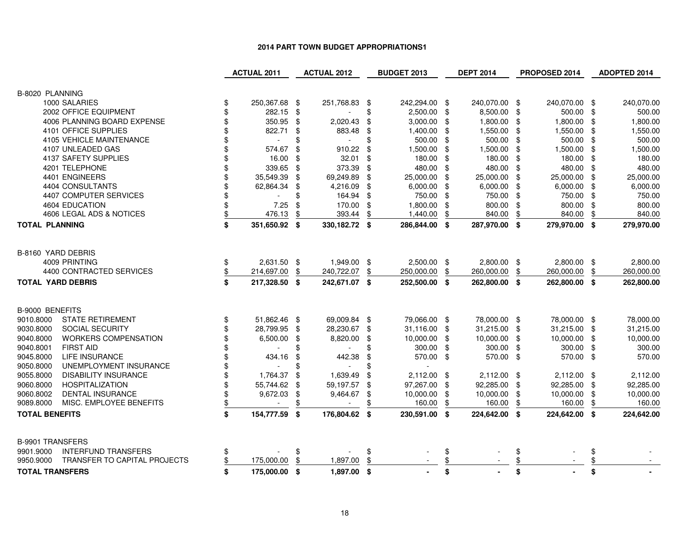#### **2014 PART TOWN BUDGET APPROPRIATIONS1**

|                                                                                  |                                                                                                            |                                                                                                                                                                                                                     |                                                                                                                                                                       |                                                                                                                                       |                                                                                                                                                     |                                                                                                                                                                                                           |                                                                 |                                                                                                                                                                                                                                                                                                                                                                    |                                                                                                               | <b>ADOPTED 2014</b>                                                                                                                                                                                                                                                                                              |
|----------------------------------------------------------------------------------|------------------------------------------------------------------------------------------------------------|---------------------------------------------------------------------------------------------------------------------------------------------------------------------------------------------------------------------|-----------------------------------------------------------------------------------------------------------------------------------------------------------------------|---------------------------------------------------------------------------------------------------------------------------------------|-----------------------------------------------------------------------------------------------------------------------------------------------------|-----------------------------------------------------------------------------------------------------------------------------------------------------------------------------------------------------------|-----------------------------------------------------------------|--------------------------------------------------------------------------------------------------------------------------------------------------------------------------------------------------------------------------------------------------------------------------------------------------------------------------------------------------------------------|---------------------------------------------------------------------------------------------------------------|------------------------------------------------------------------------------------------------------------------------------------------------------------------------------------------------------------------------------------------------------------------------------------------------------------------|
|                                                                                  |                                                                                                            |                                                                                                                                                                                                                     |                                                                                                                                                                       |                                                                                                                                       |                                                                                                                                                     |                                                                                                                                                                                                           |                                                                 |                                                                                                                                                                                                                                                                                                                                                                    |                                                                                                               |                                                                                                                                                                                                                                                                                                                  |
|                                                                                  |                                                                                                            |                                                                                                                                                                                                                     |                                                                                                                                                                       |                                                                                                                                       |                                                                                                                                                     |                                                                                                                                                                                                           |                                                                 |                                                                                                                                                                                                                                                                                                                                                                    |                                                                                                               |                                                                                                                                                                                                                                                                                                                  |
|                                                                                  |                                                                                                            |                                                                                                                                                                                                                     |                                                                                                                                                                       |                                                                                                                                       |                                                                                                                                                     |                                                                                                                                                                                                           |                                                                 |                                                                                                                                                                                                                                                                                                                                                                    |                                                                                                               | 240,070.00                                                                                                                                                                                                                                                                                                       |
|                                                                                  |                                                                                                            |                                                                                                                                                                                                                     |                                                                                                                                                                       |                                                                                                                                       |                                                                                                                                                     |                                                                                                                                                                                                           |                                                                 |                                                                                                                                                                                                                                                                                                                                                                    |                                                                                                               | 500.00                                                                                                                                                                                                                                                                                                           |
|                                                                                  |                                                                                                            |                                                                                                                                                                                                                     |                                                                                                                                                                       |                                                                                                                                       |                                                                                                                                                     |                                                                                                                                                                                                           |                                                                 |                                                                                                                                                                                                                                                                                                                                                                    |                                                                                                               | 1,800.00                                                                                                                                                                                                                                                                                                         |
|                                                                                  |                                                                                                            |                                                                                                                                                                                                                     |                                                                                                                                                                       |                                                                                                                                       |                                                                                                                                                     |                                                                                                                                                                                                           |                                                                 |                                                                                                                                                                                                                                                                                                                                                                    |                                                                                                               | 1,550.00                                                                                                                                                                                                                                                                                                         |
| $\sim$                                                                           |                                                                                                            | $\overline{\phantom{a}}$                                                                                                                                                                                            |                                                                                                                                                                       |                                                                                                                                       |                                                                                                                                                     |                                                                                                                                                                                                           |                                                                 |                                                                                                                                                                                                                                                                                                                                                                    |                                                                                                               | 500.00                                                                                                                                                                                                                                                                                                           |
|                                                                                  |                                                                                                            |                                                                                                                                                                                                                     |                                                                                                                                                                       |                                                                                                                                       | \$                                                                                                                                                  |                                                                                                                                                                                                           |                                                                 |                                                                                                                                                                                                                                                                                                                                                                    |                                                                                                               | 1,500.00                                                                                                                                                                                                                                                                                                         |
|                                                                                  |                                                                                                            |                                                                                                                                                                                                                     |                                                                                                                                                                       |                                                                                                                                       |                                                                                                                                                     |                                                                                                                                                                                                           |                                                                 |                                                                                                                                                                                                                                                                                                                                                                    |                                                                                                               | 180.00                                                                                                                                                                                                                                                                                                           |
|                                                                                  | \$                                                                                                         |                                                                                                                                                                                                                     | \$                                                                                                                                                                    |                                                                                                                                       | \$                                                                                                                                                  |                                                                                                                                                                                                           | \$                                                              |                                                                                                                                                                                                                                                                                                                                                                    | \$                                                                                                            | 480.00                                                                                                                                                                                                                                                                                                           |
|                                                                                  |                                                                                                            |                                                                                                                                                                                                                     |                                                                                                                                                                       |                                                                                                                                       | \$                                                                                                                                                  |                                                                                                                                                                                                           | \$                                                              |                                                                                                                                                                                                                                                                                                                                                                    |                                                                                                               | 25,000.00                                                                                                                                                                                                                                                                                                        |
|                                                                                  | \$                                                                                                         | 4,216.09                                                                                                                                                                                                            | \$                                                                                                                                                                    |                                                                                                                                       | \$                                                                                                                                                  |                                                                                                                                                                                                           |                                                                 |                                                                                                                                                                                                                                                                                                                                                                    |                                                                                                               | 6,000.00                                                                                                                                                                                                                                                                                                         |
|                                                                                  |                                                                                                            |                                                                                                                                                                                                                     | \$                                                                                                                                                                    |                                                                                                                                       | -\$                                                                                                                                                 |                                                                                                                                                                                                           |                                                                 |                                                                                                                                                                                                                                                                                                                                                                    |                                                                                                               | 750.00                                                                                                                                                                                                                                                                                                           |
| \$                                                                               | \$                                                                                                         |                                                                                                                                                                                                                     | \$                                                                                                                                                                    |                                                                                                                                       | \$                                                                                                                                                  |                                                                                                                                                                                                           | \$                                                              |                                                                                                                                                                                                                                                                                                                                                                    | \$                                                                                                            | 800.00                                                                                                                                                                                                                                                                                                           |
| \$<br>476.13                                                                     | \$                                                                                                         |                                                                                                                                                                                                                     | \$                                                                                                                                                                    |                                                                                                                                       | \$                                                                                                                                                  |                                                                                                                                                                                                           | \$                                                              |                                                                                                                                                                                                                                                                                                                                                                    | \$                                                                                                            | 840.00                                                                                                                                                                                                                                                                                                           |
| \$                                                                               |                                                                                                            |                                                                                                                                                                                                                     |                                                                                                                                                                       |                                                                                                                                       |                                                                                                                                                     |                                                                                                                                                                                                           |                                                                 |                                                                                                                                                                                                                                                                                                                                                                    |                                                                                                               | 279,970.00                                                                                                                                                                                                                                                                                                       |
|                                                                                  |                                                                                                            |                                                                                                                                                                                                                     |                                                                                                                                                                       |                                                                                                                                       |                                                                                                                                                     |                                                                                                                                                                                                           |                                                                 |                                                                                                                                                                                                                                                                                                                                                                    |                                                                                                               |                                                                                                                                                                                                                                                                                                                  |
|                                                                                  |                                                                                                            |                                                                                                                                                                                                                     |                                                                                                                                                                       |                                                                                                                                       |                                                                                                                                                     |                                                                                                                                                                                                           |                                                                 |                                                                                                                                                                                                                                                                                                                                                                    |                                                                                                               |                                                                                                                                                                                                                                                                                                                  |
|                                                                                  |                                                                                                            |                                                                                                                                                                                                                     |                                                                                                                                                                       |                                                                                                                                       |                                                                                                                                                     |                                                                                                                                                                                                           |                                                                 |                                                                                                                                                                                                                                                                                                                                                                    |                                                                                                               | 2,800.00                                                                                                                                                                                                                                                                                                         |
|                                                                                  |                                                                                                            |                                                                                                                                                                                                                     |                                                                                                                                                                       |                                                                                                                                       |                                                                                                                                                     |                                                                                                                                                                                                           |                                                                 |                                                                                                                                                                                                                                                                                                                                                                    |                                                                                                               | 260,000.00                                                                                                                                                                                                                                                                                                       |
|                                                                                  |                                                                                                            |                                                                                                                                                                                                                     |                                                                                                                                                                       |                                                                                                                                       |                                                                                                                                                     |                                                                                                                                                                                                           |                                                                 |                                                                                                                                                                                                                                                                                                                                                                    |                                                                                                               |                                                                                                                                                                                                                                                                                                                  |
|                                                                                  |                                                                                                            |                                                                                                                                                                                                                     |                                                                                                                                                                       |                                                                                                                                       |                                                                                                                                                     |                                                                                                                                                                                                           |                                                                 |                                                                                                                                                                                                                                                                                                                                                                    |                                                                                                               | 262,800.00                                                                                                                                                                                                                                                                                                       |
|                                                                                  |                                                                                                            |                                                                                                                                                                                                                     |                                                                                                                                                                       |                                                                                                                                       |                                                                                                                                                     |                                                                                                                                                                                                           |                                                                 |                                                                                                                                                                                                                                                                                                                                                                    |                                                                                                               |                                                                                                                                                                                                                                                                                                                  |
|                                                                                  |                                                                                                            |                                                                                                                                                                                                                     |                                                                                                                                                                       |                                                                                                                                       |                                                                                                                                                     |                                                                                                                                                                                                           |                                                                 |                                                                                                                                                                                                                                                                                                                                                                    |                                                                                                               |                                                                                                                                                                                                                                                                                                                  |
| \$                                                                               |                                                                                                            |                                                                                                                                                                                                                     |                                                                                                                                                                       |                                                                                                                                       |                                                                                                                                                     |                                                                                                                                                                                                           |                                                                 |                                                                                                                                                                                                                                                                                                                                                                    |                                                                                                               | 78,000.00                                                                                                                                                                                                                                                                                                        |
| \$                                                                               | \$                                                                                                         |                                                                                                                                                                                                                     | \$                                                                                                                                                                    |                                                                                                                                       |                                                                                                                                                     |                                                                                                                                                                                                           |                                                                 |                                                                                                                                                                                                                                                                                                                                                                    |                                                                                                               | 31,215.00                                                                                                                                                                                                                                                                                                        |
| \$<br>6,500.00                                                                   | \$                                                                                                         |                                                                                                                                                                                                                     | \$                                                                                                                                                                    |                                                                                                                                       | -\$                                                                                                                                                 |                                                                                                                                                                                                           |                                                                 |                                                                                                                                                                                                                                                                                                                                                                    |                                                                                                               | 10,000.00                                                                                                                                                                                                                                                                                                        |
|                                                                                  | \$                                                                                                         |                                                                                                                                                                                                                     |                                                                                                                                                                       |                                                                                                                                       |                                                                                                                                                     |                                                                                                                                                                                                           |                                                                 |                                                                                                                                                                                                                                                                                                                                                                    |                                                                                                               | 300.00                                                                                                                                                                                                                                                                                                           |
| \$<br>434.16                                                                     | \$                                                                                                         | 442.38                                                                                                                                                                                                              | \$                                                                                                                                                                    |                                                                                                                                       |                                                                                                                                                     |                                                                                                                                                                                                           |                                                                 |                                                                                                                                                                                                                                                                                                                                                                    |                                                                                                               | 570.00                                                                                                                                                                                                                                                                                                           |
| \$                                                                               | \$                                                                                                         | $\blacksquare$                                                                                                                                                                                                      | ß.                                                                                                                                                                    |                                                                                                                                       |                                                                                                                                                     |                                                                                                                                                                                                           |                                                                 |                                                                                                                                                                                                                                                                                                                                                                    |                                                                                                               |                                                                                                                                                                                                                                                                                                                  |
| \$<br>1,764.37                                                                   | \$                                                                                                         | 1,639.49                                                                                                                                                                                                            | \$                                                                                                                                                                    |                                                                                                                                       |                                                                                                                                                     |                                                                                                                                                                                                           |                                                                 |                                                                                                                                                                                                                                                                                                                                                                    |                                                                                                               | 2,112.00                                                                                                                                                                                                                                                                                                         |
| \$                                                                               | \$                                                                                                         | 59,197.57                                                                                                                                                                                                           | \$                                                                                                                                                                    | 97,267.00                                                                                                                             | \$                                                                                                                                                  |                                                                                                                                                                                                           |                                                                 |                                                                                                                                                                                                                                                                                                                                                                    | -\$                                                                                                           | 92,285.00                                                                                                                                                                                                                                                                                                        |
| \$<br>9,672.03                                                                   | \$                                                                                                         | 9,464.67                                                                                                                                                                                                            | \$                                                                                                                                                                    | 10,000.00                                                                                                                             | \$                                                                                                                                                  |                                                                                                                                                                                                           | -\$                                                             |                                                                                                                                                                                                                                                                                                                                                                    | \$                                                                                                            | 10,000.00                                                                                                                                                                                                                                                                                                        |
| \$                                                                               | \$                                                                                                         |                                                                                                                                                                                                                     |                                                                                                                                                                       | 160.00                                                                                                                                | \$                                                                                                                                                  | 160.00                                                                                                                                                                                                    | \$                                                              | 160.00                                                                                                                                                                                                                                                                                                                                                             | \$                                                                                                            | 160.00                                                                                                                                                                                                                                                                                                           |
| \$                                                                               |                                                                                                            |                                                                                                                                                                                                                     |                                                                                                                                                                       |                                                                                                                                       |                                                                                                                                                     |                                                                                                                                                                                                           |                                                                 |                                                                                                                                                                                                                                                                                                                                                                    |                                                                                                               | 224,642.00                                                                                                                                                                                                                                                                                                       |
|                                                                                  |                                                                                                            |                                                                                                                                                                                                                     |                                                                                                                                                                       |                                                                                                                                       |                                                                                                                                                     |                                                                                                                                                                                                           |                                                                 |                                                                                                                                                                                                                                                                                                                                                                    |                                                                                                               |                                                                                                                                                                                                                                                                                                                  |
|                                                                                  |                                                                                                            |                                                                                                                                                                                                                     |                                                                                                                                                                       |                                                                                                                                       |                                                                                                                                                     |                                                                                                                                                                                                           |                                                                 |                                                                                                                                                                                                                                                                                                                                                                    |                                                                                                               |                                                                                                                                                                                                                                                                                                                  |
| \$                                                                               | \$                                                                                                         |                                                                                                                                                                                                                     | \$                                                                                                                                                                    |                                                                                                                                       | \$                                                                                                                                                  |                                                                                                                                                                                                           | \$                                                              |                                                                                                                                                                                                                                                                                                                                                                    | \$                                                                                                            |                                                                                                                                                                                                                                                                                                                  |
| \$<br>175,000.00                                                                 | \$                                                                                                         | 1,897.00                                                                                                                                                                                                            | \$                                                                                                                                                                    |                                                                                                                                       | \$                                                                                                                                                  |                                                                                                                                                                                                           |                                                                 |                                                                                                                                                                                                                                                                                                                                                                    | \$                                                                                                            |                                                                                                                                                                                                                                                                                                                  |
| \$                                                                               |                                                                                                            | 1,897.00                                                                                                                                                                                                            | \$                                                                                                                                                                    |                                                                                                                                       | \$                                                                                                                                                  |                                                                                                                                                                                                           | \$                                                              |                                                                                                                                                                                                                                                                                                                                                                    | \$                                                                                                            |                                                                                                                                                                                                                                                                                                                  |
| \$<br>\$<br>\$<br>\$<br>\$<br>\$<br>\$<br>\$<br>\$<br>\$<br>\$<br>\$<br>\$<br>\$ | <b>ACTUAL 2011</b><br>350.95<br>822.71<br>574.67<br>339.65<br>35,549.39<br>62,864.34<br>7.25<br>214,697.00 | 250,367.68 \$<br>282.15<br>\$<br>\$<br>\$<br>\$<br>\$<br>16.00<br>\$<br>\$<br>\$<br>351,650.92 \$<br>2,631.50 \$<br>\$<br>217,328.50 \$<br>51,862.46 \$<br>28,799.95<br>55,744.62<br>154,777.59 \$<br>175,000.00 \$ | <b>ACTUAL 2012</b><br>251,768.83<br>2,020.43<br>883.48<br>910.22<br>32.01<br>373.39<br>69,249.89<br>164.94<br>170.00<br>393.44<br>240,722.07<br>28,230.67<br>8,820.00 | -\$<br>\$<br>\$<br>\$<br>\$<br>\$<br>\$<br>\$<br>330,182.72 \$<br>1,949.00 \$<br>\$<br>242,671.07 \$<br>69,009.84 \$<br>176,804.62 \$ | 2,500.00<br>3,000.00<br>1,400.00<br>500.00<br>1,500.00<br>180.00<br>480.00<br>25,000.00<br>6,000.00<br>750.00<br>1,800.00<br>1,440.00<br>250,000.00 | 242,294.00 \$<br>\$<br>\$<br>\$<br>\$<br>\$<br>286,844.00 \$<br>2,500.00 \$<br>\$<br>252,500.00 \$<br>79,066.00 \$<br>31,116.00 \$<br>10,000.00<br>300.00 \$<br>570.00 \$<br>2,112.00 \$<br>230,591.00 \$ | 180.00<br>480.00<br>25,000.00<br>800.00<br>840.00<br>260,000.00 | <b>BUDGET 2013</b><br><b>DEPT 2014</b><br>240,070.00 \$<br>8,500.00 \$<br>1,800.00 \$<br>1,550.00 \$<br>500.00 \$<br>1,500.00 \$<br>\$<br>$6,000.00$ \$<br>750.00 \$<br>287,970.00 \$<br>2,800.00 \$<br>\$<br>262,800.00 \$<br>78,000.00 \$<br>31,215.00 \$<br>10,000.00 \$<br>300.00 \$<br>570.00 \$<br>2,112.00 \$<br>92,285.00 \$<br>10,000.00<br>224,642.00 \$ | 1,800.00<br>1,550.00<br>500.00<br>1,500.00<br>480.00<br>25,000.00<br>750.00<br>800.00<br>840.00<br>260,000.00 | PROPOSED 2014<br>240,070.00 \$<br>500.00<br>-\$<br>-\$<br>-\$<br>\$<br>\$<br>180.00 \$<br>\$<br>$6,000.00$ \$<br>\$<br>279,970.00 \$<br>2,800.00 \$<br>\$<br>262,800.00 \$<br>78,000.00 \$<br>31,215.00 \$<br>10,000.00 \$<br>300.00 \$<br>570.00 \$<br>$2,112.00$ \$<br>92,285.00<br>10,000.00<br>224,642.00 \$ |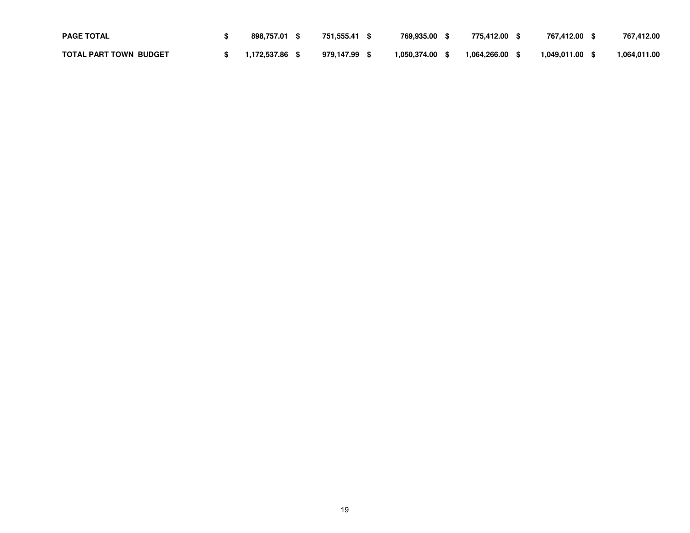| <b>PAGE TOTAL</b>             | 898.757.01     | 751.555.41 | 769.935.00   | 775.412.00   | 767.412.00   | 767,412.00    |
|-------------------------------|----------------|------------|--------------|--------------|--------------|---------------|
| <b>TOTAL PART TOWN BUDGET</b> | 1.172.537.86 \ | 979.147.99 | 1,050,374.00 | 1,064,266.00 | 1,049,011.00 | 064.011.00. ا |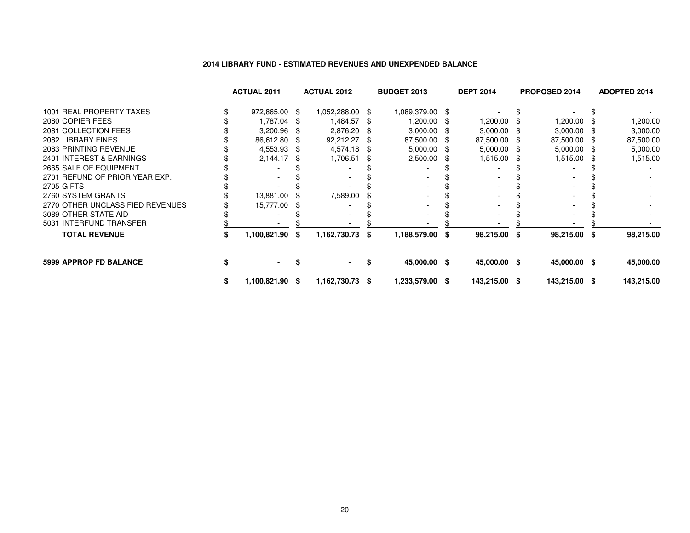#### **2014 LIBRARY FUND - ESTIMATED REVENUES AND UNEXPENDED BALANCE**

|                                  |    | <b>ACTUAL 2011</b> |      | <b>ACTUAL 2012</b> |      | <b>BUDGET 2013</b> |      | <b>DEPT 2014</b> |      | PROPOSED 2014 |      | <b>ADOPTED 2014</b> |
|----------------------------------|----|--------------------|------|--------------------|------|--------------------|------|------------------|------|---------------|------|---------------------|
| 1001 REAL PROPERTY TAXES         |    | 972,865.00 \$      |      | 1,052,288.00 \$    |      | 1,089,379.00 \$    |      |                  |      |               |      |                     |
| 2080 COPIER FEES                 |    | 1,787.04 \$        |      | 1,484.57           |      | 1,200.00 \$        |      | 1,200.00         |      | 1,200.00      |      | 1,200.00            |
| 2081 COLLECTION FEES             |    | 3,200.96           |      | 2,876.20           | - \$ | $3,000.00$ \$      |      | 3,000.00         | - \$ | $3,000.00$ \$ |      | 3,000.00            |
| 2082 LIBRARY FINES               |    | 86,612.80          |      | 92,212.27          | -SS  | 87,500.00          | - 35 | 87,500.00        | - \$ | 87,500.00 \$  |      | 87,500.00           |
| 2083 PRINTING REVENUE            |    | 4,553.93 \$        |      | 4,574.18           | - \$ | $5,000.00$ \$      |      | 5,000.00         | - \$ | $5,000.00$ \$ |      | 5,000.00            |
| 2401 INTEREST & EARNINGS         |    | 2,144.17           |      | 1,706.51           |      | 2,500.00           | -95  | 1,515.00         | - \$ | 1,515.00      | - \$ | 1,515.00            |
| 2665 SALE OF EQUIPMENT           |    |                    |      |                    |      |                    |      |                  |      |               |      |                     |
| 2701 REFUND OF PRIOR YEAR EXP.   |    |                    |      |                    |      |                    |      |                  |      |               |      |                     |
| <b>2705 GIFTS</b>                |    |                    |      |                    |      |                    |      |                  |      |               |      |                     |
| 2760 SYSTEM GRANTS               |    | 13,881.00          |      | 7,589.00           |      |                    |      |                  |      |               |      |                     |
| 2770 OTHER UNCLASSIFIED REVENUES |    | 15,777.00          |      |                    |      |                    |      |                  |      |               |      |                     |
| 3089 OTHER STATE AID             |    |                    |      |                    |      |                    |      |                  |      |               |      |                     |
| 5031 INTERFUND TRANSFER          |    |                    |      |                    |      |                    |      |                  |      |               |      |                     |
| <b>TOTAL REVENUE</b>             | \$ | 1,100,821.90       | - \$ | 1,162,730.73       | \$   | 1,188,579.00 \$    |      | 98,215.00 \$     |      | 98,215.00 \$  |      | 98,215.00           |
| <b>5999 APPROP FD BALANCE</b>    | S  |                    |      |                    | S    | 45,000.00 \$       |      | 45,000.00 \$     |      | 45,000.00 \$  |      | 45,000.00           |
|                                  | \$ | 1,100,821.90 \$    |      | 1,162,730.73       | - \$ | 1,233,579.00 \$    |      | 143,215.00 \$    |      | 143,215.00 \$ |      | 143,215.00          |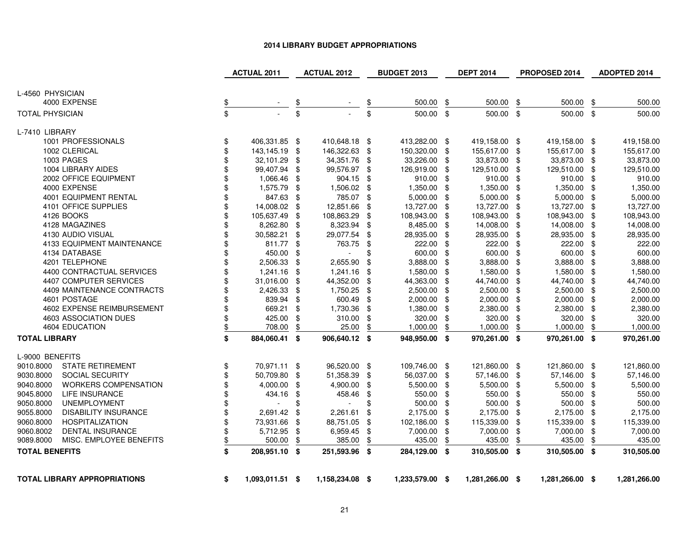#### **2014 LIBRARY BUDGET APPROPRIATIONS**

|                                          |               | <b>ACTUAL 2011</b>       |     | <b>ACTUAL 2012</b>       |                          | <b>BUDGET 2013</b> |     | <b>DEPT 2014</b> |      | PROPOSED 2014   |      | ADOPTED 2014 |
|------------------------------------------|---------------|--------------------------|-----|--------------------------|--------------------------|--------------------|-----|------------------|------|-----------------|------|--------------|
|                                          |               |                          |     |                          |                          |                    |     |                  |      |                 |      |              |
| L-4560 PHYSICIAN                         |               |                          |     |                          |                          |                    |     |                  |      |                 |      |              |
| 4000 EXPENSE                             | $\frac{2}{3}$ |                          |     |                          | $\overline{\mathcal{F}}$ | 500.00             | \$  | 500.00           | \$   | 500.00          | \$   | 500.00       |
| <b>TOTAL PHYSICIAN</b>                   | \$            |                          | \$  |                          | \$                       | 500.00 \$          |     | 500.00 \$        |      | 500.00 \$       |      | 500.00       |
| L-7410 LIBRARY                           |               |                          |     |                          |                          |                    |     |                  |      |                 |      |              |
| 1001 PROFESSIONALS                       | \$            | 406,331.85 \$            |     | 410,648.18 \$            |                          | 413,282.00 \$      |     | 419,158.00 \$    |      | 419,158.00 \$   |      | 419,158.00   |
| 1002 CLERICAL                            | \$            | 143,145.19 \$            |     | 146,322.63               | \$                       | 150,320.00         | \$  | 155,617.00       | \$   | 155,617.00 \$   |      | 155,617.00   |
| 1003 PAGES                               | \$            | 32,101.29 \$             |     | 34,351.76                | \$                       | 33,226.00          | \$  | 33,873.00        | -\$  | 33,873.00 \$    |      | 33,873.00    |
| 1004 LIBRARY AIDES                       | \$            | 99,407.94 \$             |     | 99,576.97                | \$                       | 126,919.00         | \$  | 129,510.00       | -\$  | 129,510.00 \$   |      | 129,510.00   |
| 2002 OFFICE EQUIPMENT                    | \$            | 1,066.46                 | -\$ | 904.15                   | \$                       | 910.00             | \$  | 910.00           | \$   | 910.00 \$       |      | 910.00       |
| 4000 EXPENSE                             | \$            | 1,575.79 \$              |     | 1,506.02                 | \$                       | 1,350.00 \$        |     | 1,350.00         | -\$  | 1,350.00 \$     |      | 1,350.00     |
| <b>4001 EQUIPMENT RENTAL</b>             | \$            | 847.63 \$                |     | 785.07                   | \$                       | 5,000.00           | \$  | 5,000.00         | \$   | 5,000.00        | -\$  | 5,000.00     |
| 4101 OFFICE SUPPLIES                     | \$            | 14,008.02 \$             |     | 12,851.66                | \$                       | 13,727.00          | \$  | 13,727.00        | \$   | 13,727.00 \$    |      | 13,727.00    |
| 4126 BOOKS                               | \$            | 105,637.49 \$            |     | 108,863.29               | \$                       | 108,943.00         | \$  | 108,943.00       | \$   | 108,943.00      | -\$  | 108,943.00   |
| 4128 MAGAZINES                           | \$            | 8,262.80                 | \$  | 8,323.94                 | \$                       | 8,485.00           | \$  | 14,008.00        | \$   | 14,008.00       | \$   | 14,008.00    |
| 4130 AUDIO VISUAL                        | \$            | 30,582.21                | \$  | 29,077.54                | \$                       | 28,935.00          | \$  | 28,935.00        | \$   | 28,935.00       | - \$ | 28,935.00    |
| 4133 EQUIPMENT MAINTENANCE               | \$            | 811.77 \$                |     | 763.75                   | \$                       | 222.00             | \$  | 222.00           | \$   | 222.00          | - \$ | 222.00       |
| 4134 DATABASE                            | \$            | 450.00                   | \$  | $\overline{\phantom{a}}$ | \$                       | 600.00             | \$  | 600.00           | \$   | 600.00          | -\$  | 600.00       |
| 4201 TELEPHONE                           | \$            | 2,506.33 \$              |     | 2,655.90                 | \$                       | 3,888.00           | \$  | 3,888.00         | \$   | 3,888.00 \$     |      | 3,888.00     |
| 4400 CONTRACTUAL SERVICES                | \$            | 1,241.16 \$              |     | 1,241.16                 | \$                       | 1,580.00           | \$  | 1,580.00         | \$   | 1,580.00 \$     |      | 1,580.00     |
| 4407 COMPUTER SERVICES                   | \$            | 31,016.00                | -\$ | 44,352.00                | \$                       | 44,363.00          | \$  | 44,740.00        | \$   | 44,740.00       | -\$  | 44,740.00    |
| 4409 MAINTENANCE CONTRACTS               | \$            | 2,426.33                 | -\$ | 1,750.25                 | \$                       | 2,500.00           | \$  | 2,500.00         | \$   | 2,500.00        | - \$ | 2,500.00     |
| 4601 POSTAGE                             | \$            | 839.94 \$                |     | 600.49                   | \$                       | 2,000.00           | -\$ | 2,000.00         | \$   | 2,000.00 \$     |      | 2,000.00     |
| 4602 EXPENSE REIMBURSEMENT               | \$            | 669.21 \$                |     | 1,730.36                 | \$                       | 1,380.00           | \$  | 2,380.00         | \$   | 2,380.00 \$     |      | 2,380.00     |
| 4603 ASSOCIATION DUES                    | \$            | 425.00                   | \$  | 310.00                   | \$                       | 320.00             | \$  | 320.00           | \$   | 320.00 \$       |      | 320.00       |
| 4604 EDUCATION                           | \$            | 708.00                   | \$  | 25.00                    | \$                       | 1,000.00           | \$  | 1,000.00         | \$   | 1,000.00        | \$   | 1,000.00     |
| <b>TOTAL LIBRARY</b>                     | \$            | 884,060.41 \$            |     | 906,640.12 \$            |                          | 948,950.00 \$      |     | 970,261.00 \$    |      | 970,261.00 \$   |      | 970,261.00   |
| L-9000 BENEFITS                          |               |                          |     |                          |                          |                    |     |                  |      |                 |      |              |
| <b>STATE RETIREMENT</b><br>9010.8000     | \$            | 70,971.11 \$             |     | 96,520.00 \$             |                          | 109,746.00 \$      |     | 121,860.00 \$    |      | 121,860.00 \$   |      | 121,860.00   |
| 9030.8000<br>SOCIAL SECURITY             | \$            | 50,709.80 \$             |     | 51,358.39                | \$                       | 56,037.00 \$       |     | 57,146.00        | - \$ | 57,146.00       | -\$  | 57,146.00    |
| <b>WORKERS COMPENSATION</b><br>9040.8000 | \$            | 4,000.00                 | -\$ | 4,900.00                 | \$                       | 5,500.00           | \$  | 5,500.00         | \$   | 5,500.00 \$     |      | 5,500.00     |
| 9045.8000<br>LIFE INSURANCE              | \$            | 434.16                   | \$  | 458.46                   | \$                       | 550.00             | \$  | 550.00           | \$   | 550.00 \$       |      | 550.00       |
| 9050.8000<br><b>UNEMPLOYMENT</b>         | \$            | $\overline{\phantom{a}}$ | \$  | $\blacksquare$           | \$                       | 500.00             | \$  | 500.00           | \$   | 500.00          | -\$  | 500.00       |
| 9055.8000<br><b>DISABILITY INSURANCE</b> | \$            | 2,691.42                 | -\$ | 2,261.61                 | \$                       | 2,175.00           | \$  | 2,175.00         | \$   | 2,175.00 \$     |      | 2,175.00     |
| <b>HOSPITALIZATION</b><br>9060.8000      | \$            | 73,931.66 \$             |     | 88,751.05                | \$                       | 102,186.00         | -\$ | 115,339.00       | \$   | 115,339.00 \$   |      | 115,339.00   |
| 9060.8002<br><b>DENTAL INSURANCE</b>     | \$            | 5,712.95                 | \$  | 6,959.45                 | \$                       | 7,000.00           | \$  | 7,000.00         | \$   | 7,000.00        | -\$  | 7,000.00     |
| 9089.8000<br>MISC. EMPLOYEE BENEFITS     | \$            | 500.00                   | \$  | 385.00                   | \$                       | 435.00             | \$  | 435.00           | \$   | 435.00          | \$   | 435.00       |
| <b>TOTAL BENEFITS</b>                    | \$            | 208,951.10 \$            |     | 251,593.96 \$            |                          | 284,129.00 \$      |     | 310,505.00 \$    |      | 310,505.00 \$   |      | 310,505.00   |
|                                          |               |                          |     |                          |                          |                    |     |                  |      |                 |      |              |
| <b>TOTAL LIBRARY APPROPRIATIONS</b>      | \$            | 1,093,011.51 \$          |     | 1,158,234.08 \$          |                          | 1,233,579.00 \$    |     | 1,281,266.00 \$  |      | 1,281,266.00 \$ |      | 1,281,266.00 |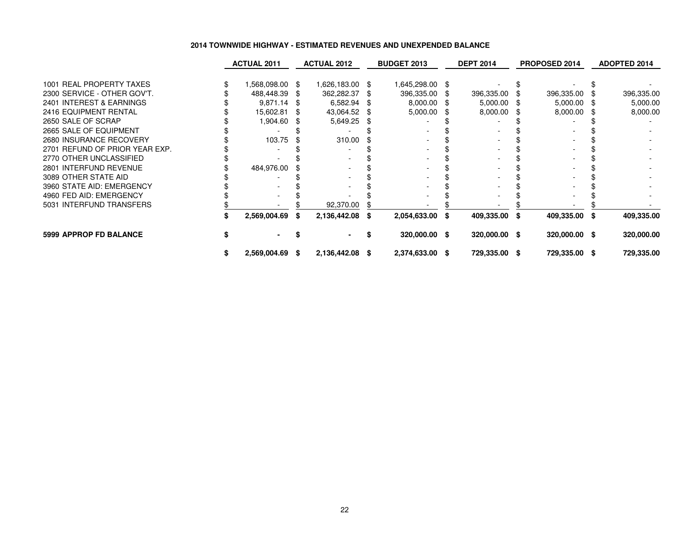#### **2014 TOWNWIDE HIGHWAY - ESTIMATED REVENUES AND UNEXPENDED BALANCE**

|                                | <b>ACTUAL 2011</b> | <b>ACTUAL 2012</b> |      | <b>BUDGET 2013</b> | <b>DEPT 2014</b> |      | <b>PROPOSED 2014</b> | <b>ADOPTED 2014</b> |
|--------------------------------|--------------------|--------------------|------|--------------------|------------------|------|----------------------|---------------------|
| 1001 REAL PROPERTY TAXES       | 1,568,098.00 \$    | 1,626,183.00 \$    |      | 1,645,298.00 \$    |                  |      |                      |                     |
| 2300 SERVICE - OTHER GOV'T.    | 488,448.39         | 362,282.37         | -SS  | 396,335.00 \$      | 396,335.00       |      | 396,335.00           | 396,335.00          |
| 2401 INTEREST & EARNINGS       | $9,871.14$ \$      | 6,582.94           | \$   | 8,000.00 \$        | 5,000.00         | - \$ | $5,000.00$ \$        | 5,000.00            |
| 2416 EQUIPMENT RENTAL          | 15,602.81          | 43,064.52          | - \$ | 5,000.00           | 8,000.00         | - SS | 8,000.00             | 8,000.00            |
| 2650 SALE OF SCRAP             | 1,904.60           | 5,649.25           |      |                    |                  |      |                      |                     |
| 2665 SALE OF EQUIPMENT         |                    |                    |      |                    |                  |      |                      |                     |
| 2680 INSURANCE RECOVERY        | 103.75             | 310.00             |      |                    |                  |      |                      |                     |
| 2701 REFUND OF PRIOR YEAR EXP. |                    |                    |      |                    |                  |      |                      |                     |
| 2770 OTHER UNCLASSIFIED        |                    |                    |      |                    |                  |      |                      |                     |
| 2801 INTERFUND REVENUE         | 484,976.00         |                    |      |                    |                  |      |                      |                     |
| 3089 OTHER STATE AID           |                    |                    |      |                    |                  |      |                      |                     |
| 3960 STATE AID: EMERGENCY      |                    |                    |      |                    |                  |      |                      |                     |
| 4960 FED AID: EMERGENCY        |                    |                    |      |                    |                  |      |                      |                     |
| 5031 INTERFUND TRANSFERS       |                    | 92,370.00          |      |                    |                  |      |                      |                     |
|                                | 2,569,004.69       | 2,136,442.08       | \$   | 2,054,633.00 \$    | 409,335.00 \$    |      | 409,335.00 \$        | 409,335.00          |
| <b>5999 APPROP FD BALANCE</b>  |                    |                    |      | 320,000.00 \$      | 320,000.00 \$    |      | 320,000.00 \$        | 320,000.00          |
|                                | 2,569,004.69 \$    | 2,136,442.08 \$    |      | 2,374,633.00 \$    | 729,335.00 \$    |      | 729,335.00 \$        | 729,335.00          |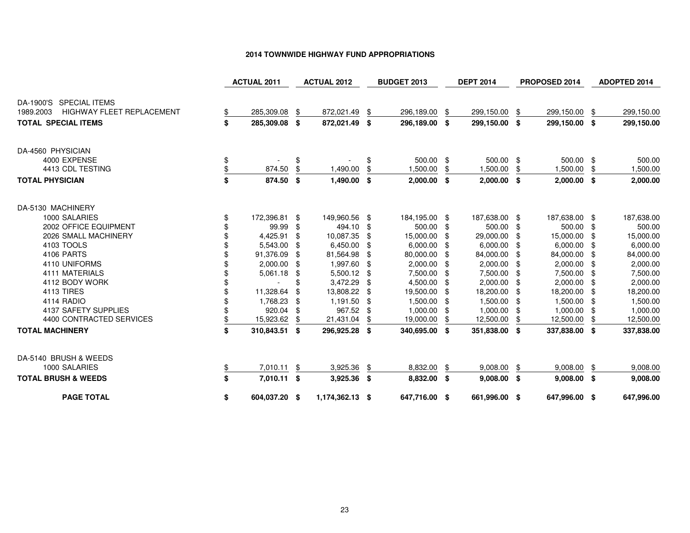### **2014 TOWNWIDE HIGHWAY FUND APPROPRIATIONS**

|                                               |                  | <b>ACTUAL 2011</b> |      | <b>ACTUAL 2012</b> |     | <b>BUDGET 2013</b> |      | <b>DEPT 2014</b> |      | PROPOSED 2014 |      | <b>ADOPTED 2014</b> |
|-----------------------------------------------|------------------|--------------------|------|--------------------|-----|--------------------|------|------------------|------|---------------|------|---------------------|
| DA-1900'S SPECIAL ITEMS                       |                  |                    |      |                    |     |                    |      |                  |      |               |      |                     |
| <b>HIGHWAY FLEET REPLACEMENT</b><br>1989.2003 | \$               | 285,309.08         | \$   | 872,021.49 \$      |     | 296,189.00         | \$   | 299,150.00       | \$   | 299,150.00    | -\$  | 299,150.00          |
| <b>TOTAL SPECIAL ITEMS</b>                    | \$               | 285,309.08 \$      |      | 872,021.49 \$      |     | 296,189.00 \$      |      | 299,150.00 \$    |      | 299,150.00 \$ |      | 299,150.00          |
| DA-4560 PHYSICIAN                             |                  |                    |      |                    |     |                    |      |                  |      |               |      |                     |
| 4000 EXPENSE                                  | \$               |                    | \$   |                    |     | 500.00 \$          |      | 500.00 \$        |      | 500.00 \$     |      | 500.00              |
| 4413 CDL TESTING                              | $\underline{\$}$ | 874.50             | \$   | 1,490.00           | \$  | 1,500.00           | \$   | 1,500.00         | \$   | 1,500.00      | \$   | 1,500.00            |
| <b>TOTAL PHYSICIAN</b>                        | \$               | 874.50 \$          |      | 1,490.00 \$        |     | $2,000.00$ \$      |      | $2,000.00$ \$    |      | $2,000.00$ \$ |      | 2,000.00            |
| DA-5130 MACHINERY                             |                  |                    |      |                    |     |                    |      |                  |      |               |      |                     |
| 1000 SALARIES                                 | \$               | 172,396.81 \$      |      | 149,960.56 \$      |     | 184,195.00 \$      |      | 187,638.00 \$    |      | 187,638.00 \$ |      | 187,638.00          |
| 2002 OFFICE EQUIPMENT                         | \$               | 99.99              | -\$  | 494.10 \$          |     | 500.00 \$          |      | 500.00           | -\$  | 500.00 \$     |      | 500.00              |
| 2026 SMALL MACHINERY                          |                  | 4,425.91           | -\$  | 10,087.35          | \$  | 15,000.00          | -\$  | 29,000.00        | \$   | 15,000.00     | - \$ | 15,000.00           |
| 4103 TOOLS                                    |                  | 5,543.00 \$        |      | 6,450.00           | \$  | $6,000.00$ \$      |      | 6,000.00         | - \$ | $6,000.00$ \$ |      | 6,000.00            |
| 4106 PARTS                                    |                  | 91,376.09          | - \$ | 81,564.98          | \$  | 80,000.00 \$       |      | 84,000.00        | -\$  | 84,000.00 \$  |      | 84,000.00           |
| 4110 UNIFORMS                                 |                  | 2,000.00 \$        |      | 1,997.60 \$        |     | $2,000.00$ \$      |      | 2,000.00         | -\$  | 2,000.00 \$   |      | 2,000.00            |
| 4111 MATERIALS                                |                  | 5,061.18 \$        |      | 5,500.12 \$        |     | 7,500.00 \$        |      | 7,500.00         | -\$  | 7,500.00 \$   |      | 7,500.00            |
| 4112 BODY WORK                                |                  |                    | \$   | 3,472.29           | -\$ | 4,500.00 \$        |      | 2,000.00         | -\$  | 2,000.00 \$   |      | 2,000.00            |
| <b>4113 TIRES</b>                             |                  | 11,328.64          | \$   | 13,808.22          | \$  | 19,500.00 \$       |      | 18,200.00        | \$   | 18,200.00     | - \$ | 18,200.00           |
| 4114 RADIO                                    |                  | 1,768.23           | - \$ | 1,191.50           | -\$ | 1,500.00 \$        |      | 1,500.00         | \$   | 1,500.00 \$   |      | 1,500.00            |
| 4137 SAFETY SUPPLIES                          |                  | 920.04             | -\$  | 967.52 \$          |     | 1,000.00           | - \$ | 1,000.00         |      | 1,000.00 \$   |      | 1,000.00            |
| 4400 CONTRACTED SERVICES                      | \$               | 15,923.62          | \$   | 21,431.04          | \$  | 19,000.00          | \$   | 12,500.00        | \$   | 12,500.00     | \$   | 12,500.00           |
| <b>TOTAL MACHINERY</b>                        | \$               | 310,843.51 \$      |      | 296,925.28 \$      |     | 340,695.00 \$      |      | 351,838.00 \$    |      | 337,838.00 \$ |      | 337,838.00          |
| DA-5140 BRUSH & WEEDS                         |                  |                    |      |                    |     |                    |      |                  |      |               |      |                     |
| 1000 SALARIES                                 | \$               | 7,010.11           | \$   | 3,925.36           | \$  | 8,832.00           | \$   | 9,008.00         | \$   | 9,008.00      | - \$ | 9,008.00            |
| <b>TOTAL BRUSH &amp; WEEDS</b>                | \$               | 7,010.11 \$        |      | 3,925.36 \$        |     | 8,832.00 \$        |      | $9,008.00$ \$    |      | $9,008.00$ \$ |      | 9,008.00            |
| <b>PAGE TOTAL</b>                             | \$               | 604,037.20 \$      |      | 1,174,362.13 \$    |     | 647,716.00 \$      |      | 661,996.00 \$    |      | 647,996.00 \$ |      | 647,996.00          |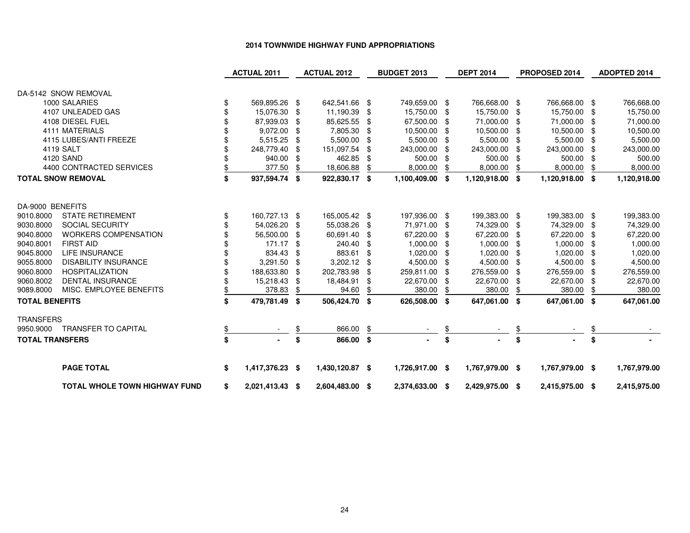#### **2014 TOWNWIDE HIGHWAY FUND APPROPRIATIONS**

|                                                                   | <b>ACTUAL 2011</b>      |          | <b>ACTUAL 2012</b>      |          | <b>BUDGET 2013</b>      |            | <b>DEPT 2014</b>        |              | PROPOSED 2014           |           | <b>ADOPTED 2014</b>     |
|-------------------------------------------------------------------|-------------------------|----------|-------------------------|----------|-------------------------|------------|-------------------------|--------------|-------------------------|-----------|-------------------------|
| DA-5142 SNOW REMOVAL                                              |                         |          |                         |          |                         |            |                         |              |                         |           |                         |
| 1000 SALARIES                                                     | \$<br>569,895.26 \$     |          | 642,541.66 \$           |          | 749,659.00 \$           |            | 766,668.00 \$           |              | 766,668.00 \$           |           | 766,668.00              |
| 4107 UNLEADED GAS                                                 | 15,076.30               | \$       | 11,190.39               | \$       | 15,750.00               | -\$        | 15,750.00 \$            |              | 15,750.00               | -\$       | 15,750.00               |
| 4108 DIESEL FUEL                                                  | 87,939.03               | \$       | 85,625.55               | \$       | 67,500.00 \$            |            | 71,000.00 \$            |              | 71,000.00               | \$        | 71,000.00               |
| 4111 MATERIALS                                                    | 9,072.00                | \$       | 7,805.30                | \$       | 10,500.00               | - \$       | 10,500.00 \$            |              | 10,500.00               | -\$       | 10,500.00               |
| 4115 LUBES/ANTI FREEZE                                            | 5,515.25                | \$       | 5,500.00                | \$       | 5,500.00                | - \$       | 5,500.00 \$             |              | 5,500.00                | -\$       | 5,500.00                |
| 4119 SALT                                                         | 248,779.40              | \$       | 151,097.54              | \$       | 243,000.00              |            | 243,000.00              |              | 243,000.00              | \$        | 243,000.00              |
| 4120 SAND                                                         | 940.00                  | \$       | 462.85                  | \$       | 500.00                  |            | 500.00                  |              | 500.00                  | \$        | 500.00                  |
| 4400 CONTRACTED SERVICES                                          | 377.50                  | \$       | 18,606.88               | \$       | 8,000.00                | \$         | 8,000.00                | \$           | 8,000.00                | \$        | 8,000.00                |
| <b>TOTAL SNOW REMOVAL</b>                                         | \$<br>937,594.74 \$     |          | 922,830.17 \$           |          | 1,100,409.00 \$         |            | 1,120,918.00 \$         |              | 1,120,918.00 \$         |           | 1,120,918.00            |
|                                                                   |                         |          |                         |          |                         |            |                         |              |                         |           |                         |
| DA-9000 BENEFITS                                                  |                         |          |                         |          |                         |            |                         |              |                         |           |                         |
| <b>STATE RETIREMENT</b><br>9010.8000                              | \$<br>160,727.13 \$     |          | 165,005.42 \$           |          | 197,936.00 \$           |            | 199,383.00 \$           |              | 199,383.00 \$           |           | 199,383.00              |
| 9030.8000<br><b>SOCIAL SECURITY</b>                               | 54,026.20               | \$       | 55,038.26               | -\$      | 71,971.00 \$            |            | 74,329.00 \$            |              | 74,329.00               | \$        | 74,329.00               |
| 9040.8000<br><b>WORKERS COMPENSATION</b>                          | 56,500.00               | \$       | 60,691.40               | \$       | 67,220.00               | - \$       | 67,220.00 \$            |              | 67,220.00               | -\$       | 67,220.00               |
| 9040.8001<br><b>FIRST AID</b>                                     | 171.17                  | \$       | 240.40                  | \$       | 1,000.00                |            | $1,000.00$ \$           |              | 1,000.00                | -\$       | 1,000.00                |
| 9045.8000<br><b>LIFE INSURANCE</b><br><b>DISABILITY INSURANCE</b> | 834.43                  |          | 883.61                  | \$       | 1,020.00                |            | 1,020.00                |              | 1,020.00                | \$        | 1,020.00                |
| 9055.8000<br><b>HOSPITALIZATION</b>                               | 3,291.50                | \$       | 3,202.12                | \$<br>ß. | 4,500.00                | - \$       | 4,500.00 \$             |              | 4,500.00                | -\$       | 4,500.00                |
| 9060.8000<br>9060.8002<br><b>DENTAL INSURANCE</b>                 | 188,633.80<br>15,218.43 | \$<br>\$ | 202,783.98<br>18,484.91 | \$       | 259,811.00<br>22,670.00 | \$<br>- \$ | 276,559.00<br>22,670.00 | - \$<br>- \$ | 276,559.00<br>22,670.00 | \$<br>-\$ | 276,559.00<br>22,670.00 |
| 9089.8000<br>MISC. EMPLOYEE BENEFITS                              | 378.83                  | \$       | 94.60                   |          | 380.00                  |            | 380.00                  | \$           | 380.00                  | \$        | 380.00                  |
|                                                                   |                         |          |                         |          |                         |            |                         |              |                         |           |                         |
| <b>TOTAL BENEFITS</b>                                             | \$<br>479,781.49        | - \$     | 506,424.70 \$           |          | 626,508.00 \$           |            | 647,061.00 \$           |              | 647,061.00 \$           |           | 647,061.00              |
| <b>TRANSFERS</b>                                                  |                         |          |                         |          |                         |            |                         |              |                         |           |                         |
| 9950.9000 TRANSFER TO CAPITAL                                     |                         |          | 866.00                  | \$       |                         | \$         |                         |              |                         |           |                         |
| <b>TOTAL TRANSFERS</b>                                            | \$                      | \$       | 866.00 \$               |          | $\blacksquare$          | \$         |                         | \$           |                         | \$        |                         |
| <b>PAGE TOTAL</b>                                                 | \$<br>1,417,376.23 \$   |          | 1,430,120.87 \$         |          | 1,726,917.00 \$         |            | 1,767,979.00 \$         |              | 1,767,979.00 \$         |           | 1,767,979.00            |
| <b>TOTAL WHOLE TOWN HIGHWAY FUND</b>                              | \$<br>2,021,413.43 \$   |          | 2,604,483.00 \$         |          | 2,374,633.00 \$         |            | 2,429,975.00 \$         |              | 2,415,975.00 \$         |           | 2,415,975.00            |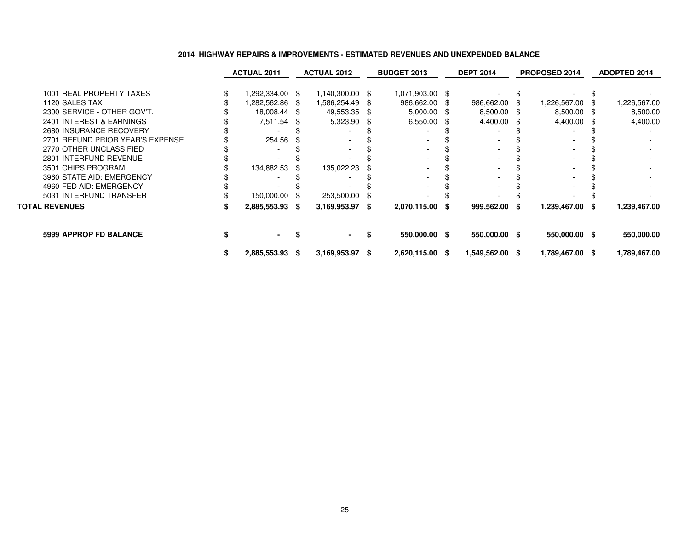|                                  | <b>ACTUAL 2011</b> |                 | <b>ACTUAL 2012</b> |                   |     | <b>BUDGET 2013</b> |     | <b>DEPT 2014</b> |     | PROPOSED 2014   | <b>ADOPTED 2014</b> |              |  |
|----------------------------------|--------------------|-----------------|--------------------|-------------------|-----|--------------------|-----|------------------|-----|-----------------|---------------------|--------------|--|
| 1001 REAL PROPERTY TAXES         |                    | 1,292,334.00 \$ |                    | 1,140,300.00 \$   |     | 1,071,903.00 \$    |     |                  |     |                 |                     |              |  |
| 1120 SALES TAX                   |                    | 1,282,562.86 \$ |                    | 1,586,254.49      | -SS | 986,662.00         | \$. | 986,662.00       |     | 1,226,567.00 \$ |                     | 1,226,567.00 |  |
| 2300 SERVICE - OTHER GOV'T.      |                    | 18,008.44 \$    |                    | 49,553.35         |     | 5,000.00           |     | 8,500.00 \$      |     | 8,500.00 \$     |                     | 8,500.00     |  |
| 2401 INTEREST & EARNINGS         |                    | 7,511.54 \$     |                    | 5,323.90          |     | 6,550.00           |     | 4,400.00         |     | 4,400.00 \$     |                     | 4,400.00     |  |
| 2680 INSURANCE RECOVERY          |                    |                 |                    |                   |     |                    |     |                  |     |                 |                     |              |  |
| 2701 REFUND PRIOR YEAR'S EXPENSE |                    | 254.56          |                    |                   |     |                    |     |                  |     |                 |                     |              |  |
| 2770 OTHER UNCLASSIFIED          |                    |                 |                    |                   |     |                    |     |                  |     |                 |                     |              |  |
| 2801 INTERFUND REVENUE           |                    |                 |                    |                   |     |                    |     |                  |     |                 |                     |              |  |
| 3501 CHIPS PROGRAM               |                    | 134,882.53      |                    | 135,022.23        |     |                    |     |                  |     |                 |                     |              |  |
| 3960 STATE AID: EMERGENCY        |                    |                 |                    |                   |     |                    |     |                  |     |                 |                     |              |  |
| 4960 FED AID: EMERGENCY          |                    |                 |                    |                   |     |                    |     |                  |     |                 |                     |              |  |
| 5031 INTERFUND TRANSFER          |                    | 150,000.00      |                    | 253,500.00        |     |                    |     |                  |     |                 |                     |              |  |
| <b>TOTAL REVENUES</b>            |                    | 2,885,553.93 \$ |                    | 3,169,953.97 \$   |     | 2,070,115.00 \$    |     | 999,562.00       | -SG | 1,239,467.00 \$ |                     | 1,239,467.00 |  |
| <b>5999 APPROP FD BALANCE</b>    |                    | $\sim$          |                    |                   | S   | 550,000.00 \$      |     | 550,000.00 \$    |     | 550,000.00 \$   |                     | 550,000.00   |  |
|                                  | \$                 | 2,885,553.93 \$ |                    | $3,169,953.97$ \$ |     | 2,620,115.00 \$    |     | 1,549,562.00 \$  |     | 1,789,467.00 \$ |                     | 1,789,467.00 |  |

### **2014 HIGHWAY REPAIRS & IMPROVEMENTS - ESTIMATED REVENUES AND UNEXPENDED BALANCE**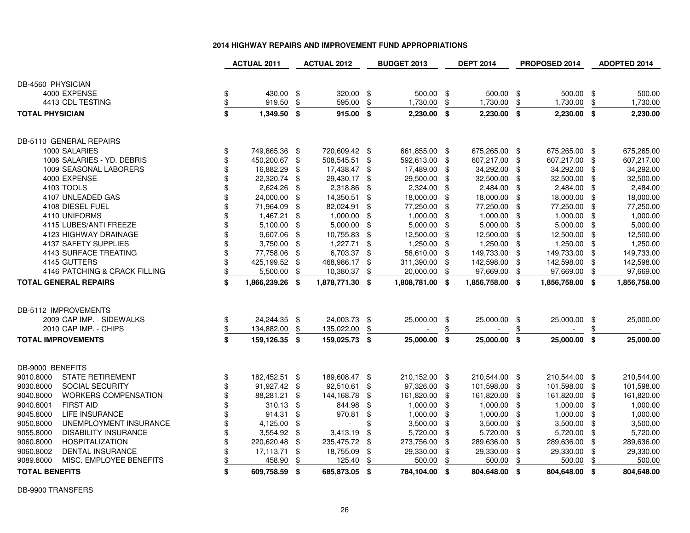| 2014 HIGHWAY REPAIRS AND IMPROVEMENT FUND APPROPRIATIONS |  |  |  |
|----------------------------------------------------------|--|--|--|
|----------------------------------------------------------|--|--|--|

|                              |                               | <b>ACTUAL 2011</b> |                 | <b>ACTUAL 2012</b> |               | <b>BUDGET 2013</b> |                 | <b>DEPT 2014</b> |               | PROPOSED 2014 |                 |               | ADOPTED 2014 |  |
|------------------------------|-------------------------------|--------------------|-----------------|--------------------|---------------|--------------------|-----------------|------------------|---------------|---------------|-----------------|---------------|--------------|--|
|                              |                               |                    |                 |                    |               |                    |                 |                  |               |               |                 |               |              |  |
| DB-4560 PHYSICIAN            |                               |                    |                 |                    |               |                    |                 |                  |               |               |                 |               |              |  |
| 4000 EXPENSE                 |                               | \$                 | 430.00 \$       |                    | 320.00 \$     |                    | 500.00 \$       |                  | 500.00 \$     |               | 500.00 \$       |               | 500.00       |  |
|                              | 4413 CDL TESTING              | $\frac{1}{2}$      | 919.50          | \$                 | 595.00        | \$                 | 1,730.00        | \$               | 1,730.00      | \$            | 1,730.00        | \$            | 1,730.00     |  |
| <b>TOTAL PHYSICIAN</b>       |                               | \$                 | 1,349.50 \$     |                    | 915.00 \$     |                    | $2,230.00$ \$   |                  | $2,230.00$ \$ |               | $2,230.00$ \$   |               | 2,230.00     |  |
| DB-5110 GENERAL REPAIRS      |                               |                    |                 |                    |               |                    |                 |                  |               |               |                 |               |              |  |
| 1000 SALARIES                |                               | \$                 | 749,865.36 \$   |                    | 720,609.42 \$ |                    | 661,855.00 \$   |                  | 675,265.00 \$ |               | 675,265.00 \$   |               | 675,265.00   |  |
|                              | 1006 SALARIES - YD. DEBRIS    | \$                 | 450,200.67 \$   |                    | 508,545.51 \$ |                    | 592,613.00 \$   |                  | 607,217.00    | -\$           | 607,217.00      | -\$           | 607,217.00   |  |
|                              | 1009 SEASONAL LABORERS        | \$                 | 16,882.29       | \$                 | 17,438.47     | - \$               | 17,489.00 \$    |                  | 34,292.00     | - \$          | 34,292.00       | \$            | 34,292.00    |  |
| 4000 EXPENSE                 |                               | \$                 | 22,320.74 \$    |                    | 29,430.17     | \$                 | 29,500.00 \$    |                  | 32,500.00     | \$            | 32,500.00       | \$            | 32,500.00    |  |
| 4103 TOOLS                   |                               | \$                 | 2,624.26        | \$                 | 2,318.86      | \$                 | 2,324.00 \$     |                  | 2,484.00      | -\$           | 2,484.00        | \$            | 2,484.00     |  |
|                              | 4107 UNLEADED GAS             | \$                 | 24,000.00       | \$                 | 14,350.51     | \$                 | 18,000.00 \$    |                  | 18,000.00     | -\$           | 18,000.00       | \$            | 18,000.00    |  |
|                              | 4108 DIESEL FUEL              | \$                 | 71,964.09 \$    |                    | 82,024.91     | \$                 | 77,250.00 \$    |                  | 77,250.00     | -\$           | 77,250.00       | \$            | 77,250.00    |  |
| 4110 UNIFORMS                |                               | \$                 | 1,467.21        | \$                 | $1,000.00$ \$ |                    | $1,000.00$ \$   |                  | 1,000.00      | -\$           | 1,000.00        | \$            | 1,000.00     |  |
|                              | 4115 LUBES/ANTI FREEZE        |                    | $5,100.00$ \$   |                    | 5,000.00      | \$                 | 5,000.00 \$     |                  | 5,000.00      | \$            | 5,000.00        | \$            | 5,000.00     |  |
|                              | 4123 HIGHWAY DRAINAGE         | \$                 | 9,607.06 \$     |                    | 10,755.83     | \$                 | 12,500.00 \$    |                  | 12,500.00     | -\$           | 12,500.00       | \$            | 12,500.00    |  |
|                              | 4137 SAFETY SUPPLIES          | \$                 | $3,750.00$ \$   |                    | 1,227.71      | \$                 | 1,250.00 \$     |                  | 1,250.00      | -\$           | 1,250.00        | \$            | 1,250.00     |  |
|                              | 4143 SURFACE TREATING         | \$                 | 77,758.06 \$    |                    | 6,703.37      | $\sqrt[6]{2}$      | 58,610.00 \$    |                  | 149,733.00    | \$            | 149,733.00      | \$            | 149,733.00   |  |
| 4145 GUTTERS                 |                               | \$                 | 425,199.52 \$   |                    | 468,986.17    | -\$                | 311,390.00      | - \$             | 142,598.00    | -\$           | 142,598.00      | \$            | 142,598.00   |  |
|                              | 4146 PATCHING & CRACK FILLING | \$                 | 5,500.00        | \$                 | 10,380.37     | \$                 | 20,000.00       | \$               | 97,669.00     | \$            | 97,669.00       | \$            | 97,669.00    |  |
| <b>TOTAL GENERAL REPAIRS</b> |                               | \$                 | 1,866,239.26 \$ |                    | 1,878,771.30  | \$                 | 1,808,781.00 \$ |                  | 1,856,758.00  | -\$           | 1,856,758.00 \$ |               | 1,856,758.00 |  |
|                              |                               |                    |                 |                    |               |                    |                 |                  |               |               |                 |               |              |  |
| DB-5112 IMPROVEMENTS         |                               |                    |                 |                    |               |                    |                 |                  |               |               |                 |               |              |  |
|                              | 2009 CAP IMP. - SIDEWALKS     | \$                 | 24,244.35 \$    |                    | 24,003.73 \$  |                    | 25,000.00 \$    |                  | 25,000.00 \$  |               | 25,000.00 \$    |               | 25,000.00    |  |
|                              | 2010 CAP IMP. - CHIPS         | $\frac{1}{2}$      | 134,882.00      | \$                 | 135,022.00    | \$                 |                 | \$               |               | \$            |                 | $\frac{1}{2}$ |              |  |
| <b>TOTAL IMPROVEMENTS</b>    |                               | \$                 | 159,126.35 \$   |                    | 159,025.73 \$ |                    | 25,000.00 \$    |                  | 25,000.00     | \$            | 25,000.00 \$    |               | 25,000.00    |  |
| DB-9000 BENEFITS             |                               |                    |                 |                    |               |                    |                 |                  |               |               |                 |               |              |  |
| 9010.8000                    | <b>STATE RETIREMENT</b>       | \$                 | 182,452.51 \$   |                    | 189,608.47 \$ |                    | 210,152.00 \$   |                  | 210,544.00 \$ |               | 210,544.00 \$   |               | 210,544.00   |  |
| 9030.8000                    | SOCIAL SECURITY               | \$                 | 91,927.42 \$    |                    | 92,510.61     | \$                 | 97,326.00 \$    |                  | 101,598.00 \$ |               | 101,598.00      | \$            | 101,598.00   |  |
| 9040.8000                    | <b>WORKERS COMPENSATION</b>   | \$                 | 88,281.21 \$    |                    | 144,168.78    | \$                 | 161,820.00 \$   |                  | 161,820.00 \$ |               | 161,820.00      | \$            | 161,820.00   |  |
| 9040.8001                    | <b>FIRST AID</b>              |                    | 310.13 \$       |                    | 844.98        | \$                 | 1,000.00 \$     |                  | 1,000.00      | \$            | 1,000.00        | \$            | 1,000.00     |  |
| 9045.8000                    | LIFE INSURANCE                | \$                 | $914.31$ \$     |                    | 970.81        | \$                 | $1,000.00$ \$   |                  | 1,000.00      | - \$          | 1,000.00        | \$            | 1,000.00     |  |
| 9050.8000                    | UNEMPLOYMENT INSURANCE        | \$                 | 4,125.00 \$     |                    |               | \$                 | $3,500.00$ \$   |                  | 3,500.00      | -\$           | 3,500.00        | \$            | 3,500.00     |  |
| 9055.8000                    | <b>DISABILITY INSURANCE</b>   | \$                 | 3,554.92 \$     |                    | 3,413.19      | \$                 | 5,720.00 \$     |                  | 5,720.00      | \$            | 5,720.00        | \$            | 5,720.00     |  |
| 9060.8000                    | <b>HOSPITALIZATION</b>        | \$                 | 220,620.48      | -\$                | 235,475.72    | \$                 | 273,756.00 \$   |                  | 289,636.00    | -\$           | 289,636.00      | \$            | 289,636.00   |  |
| 9060.8002                    | DENTAL INSURANCE              | \$                 | 17,113.71       | \$                 | 18,755.09     | \$                 | 29,330.00 \$    |                  | 29,330.00     | \$            | 29,330.00       | \$            | 29,330.00    |  |
| 9089.8000                    | MISC. EMPLOYEE BENEFITS       | \$                 | 458.90          | \$                 | 125.40        | \$                 | 500.00          | \$               | 500.00        | \$            | 500.00          | \$            | 500.00       |  |
| <b>TOTAL BENEFITS</b>        |                               | \$                 | 609,758.59 \$   |                    | 685,873.05 \$ |                    | 784,104.00 \$   |                  | 804,648.00 \$ |               | 804,648.00 \$   |               | 804,648.00   |  |

DB-9900 TRANSFERS